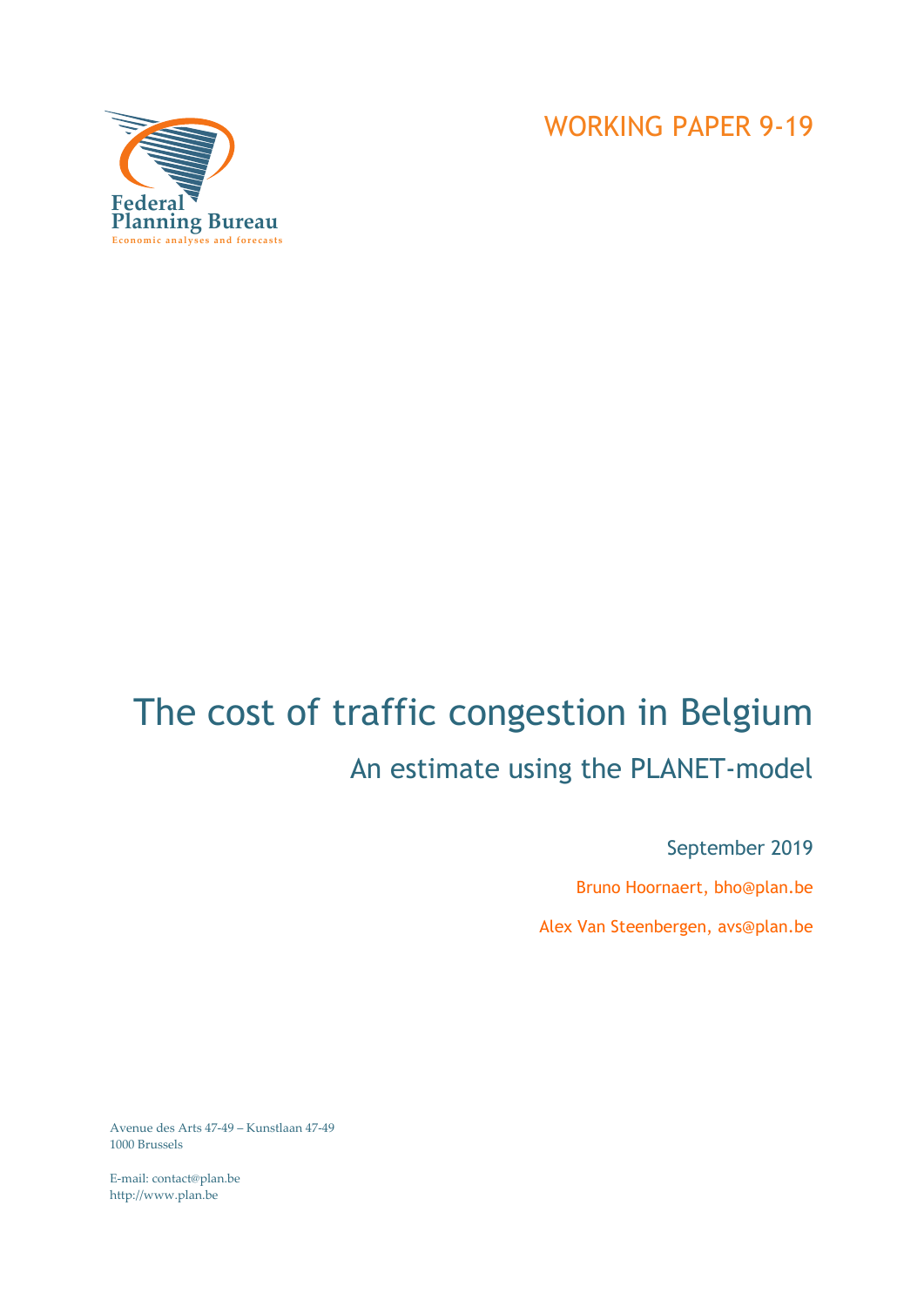

# The cost of traffic congestion in Belgium An estimate using the PLANET-model

September 2019 Bruno Hoornaert, bho@plan.be Alex Van Steenbergen, avs@plan.be

Avenue des Arts 47-49 – Kunstlaan 47-49 1000 Brussels

E-mail: contact@plan.be http://www.plan.be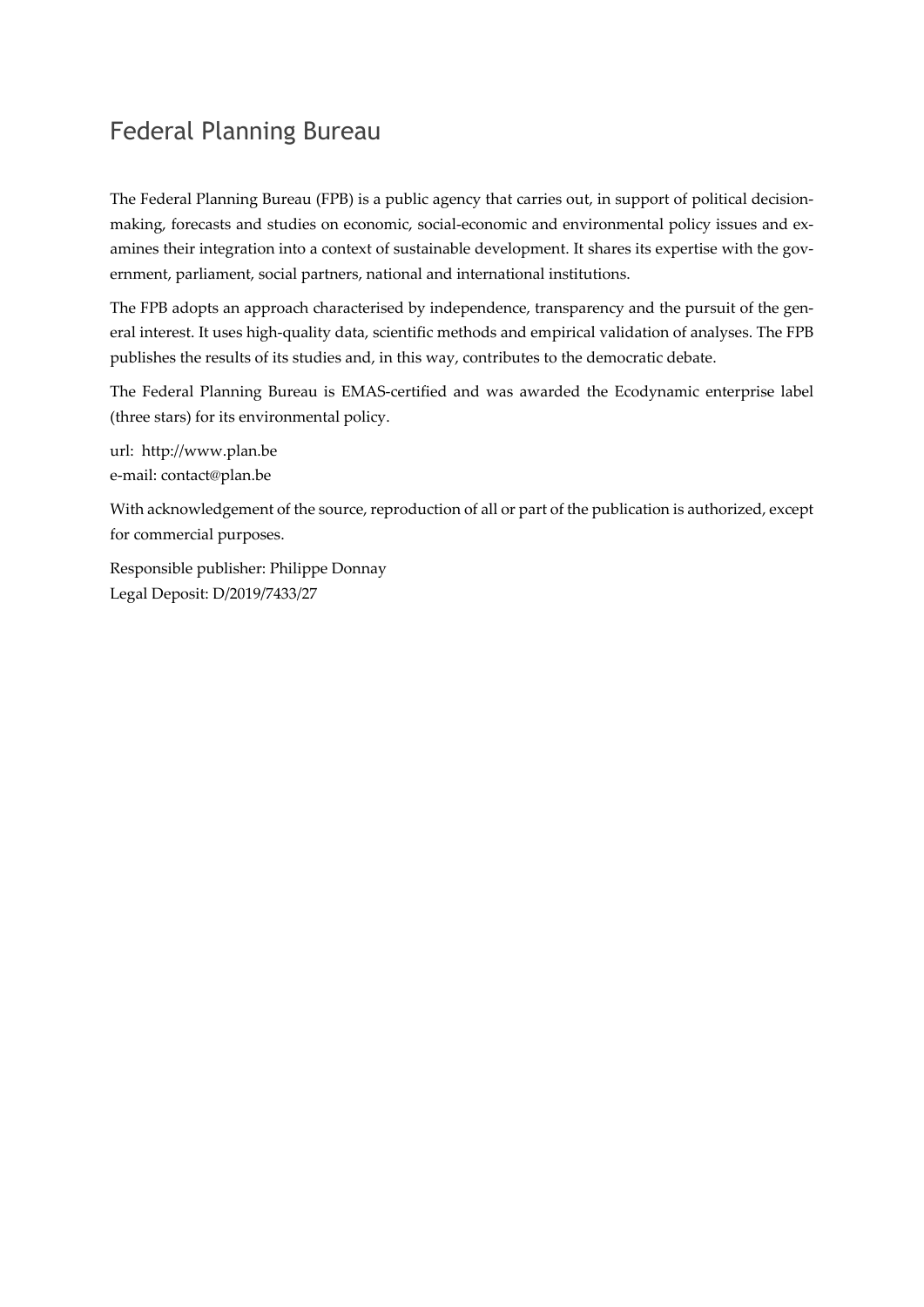## Federal Planning Bureau

The Federal Planning Bureau (FPB) is a public agency that carries out, in support of political decisionmaking, forecasts and studies on economic, social-economic and environmental policy issues and examines their integration into a context of sustainable development. It shares its expertise with the government, parliament, social partners, national and international institutions.

The FPB adopts an approach characterised by independence, transparency and the pursuit of the general interest. It uses high-quality data, scientific methods and empirical validation of analyses. The FPB publishes the results of its studies and, in this way, contributes to the democratic debate.

The Federal Planning Bureau is EMAS-certified and was awarded the Ecodynamic enterprise label (three stars) for its environmental policy.

url: http://www.plan.be e-mail: contact@plan.be

With acknowledgement of the source, reproduction of all or part of the publication is authorized, except for commercial purposes.

Responsible publisher: Philippe Donnay Legal Deposit: D/2019/7433/27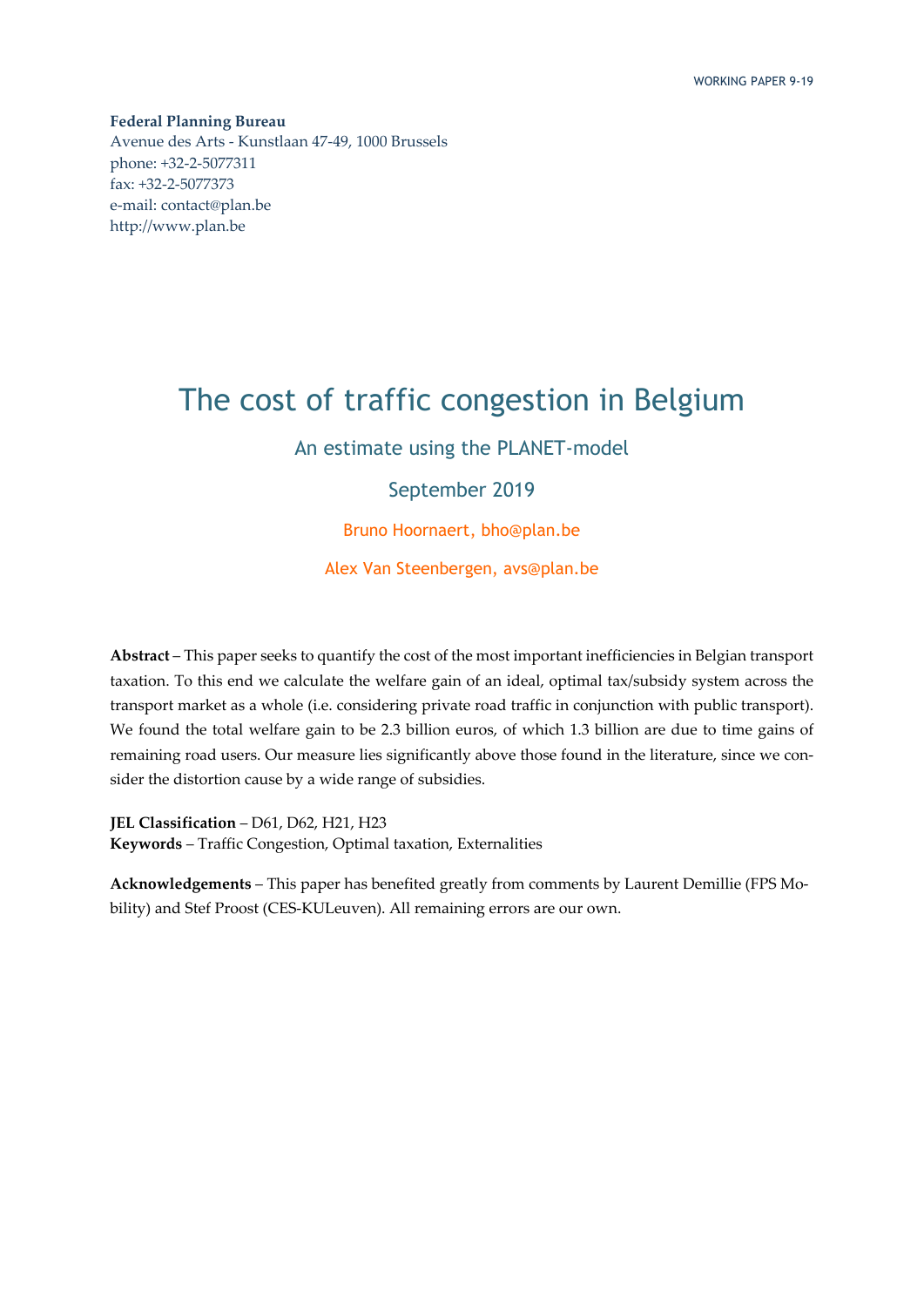**Federal Planning Bureau**  Avenue des Arts - Kunstlaan 47-49, 1000 Brussels phone: +32-2-5077311 fax: +32-2-5077373 e-mail: contact@plan.be http://www.plan.be

# The cost of traffic congestion in Belgium

An estimate using the PLANET-model

September 2019

Bruno Hoornaert, bho@plan.be

Alex Van Steenbergen, avs@plan.be

**Abstract** – This paper seeks to quantify the cost of the most important inefficiencies in Belgian transport taxation. To this end we calculate the welfare gain of an ideal, optimal tax/subsidy system across the transport market as a whole (i.e. considering private road traffic in conjunction with public transport). We found the total welfare gain to be 2.3 billion euros, of which 1.3 billion are due to time gains of remaining road users. Our measure lies significantly above those found in the literature, since we consider the distortion cause by a wide range of subsidies.

**JEL Classification** – D61, D62, H21, H23 **Keywords** – Traffic Congestion, Optimal taxation, Externalities

**Acknowledgements** – This paper has benefited greatly from comments by Laurent Demillie (FPS Mobility) and Stef Proost (CES-KULeuven). All remaining errors are our own.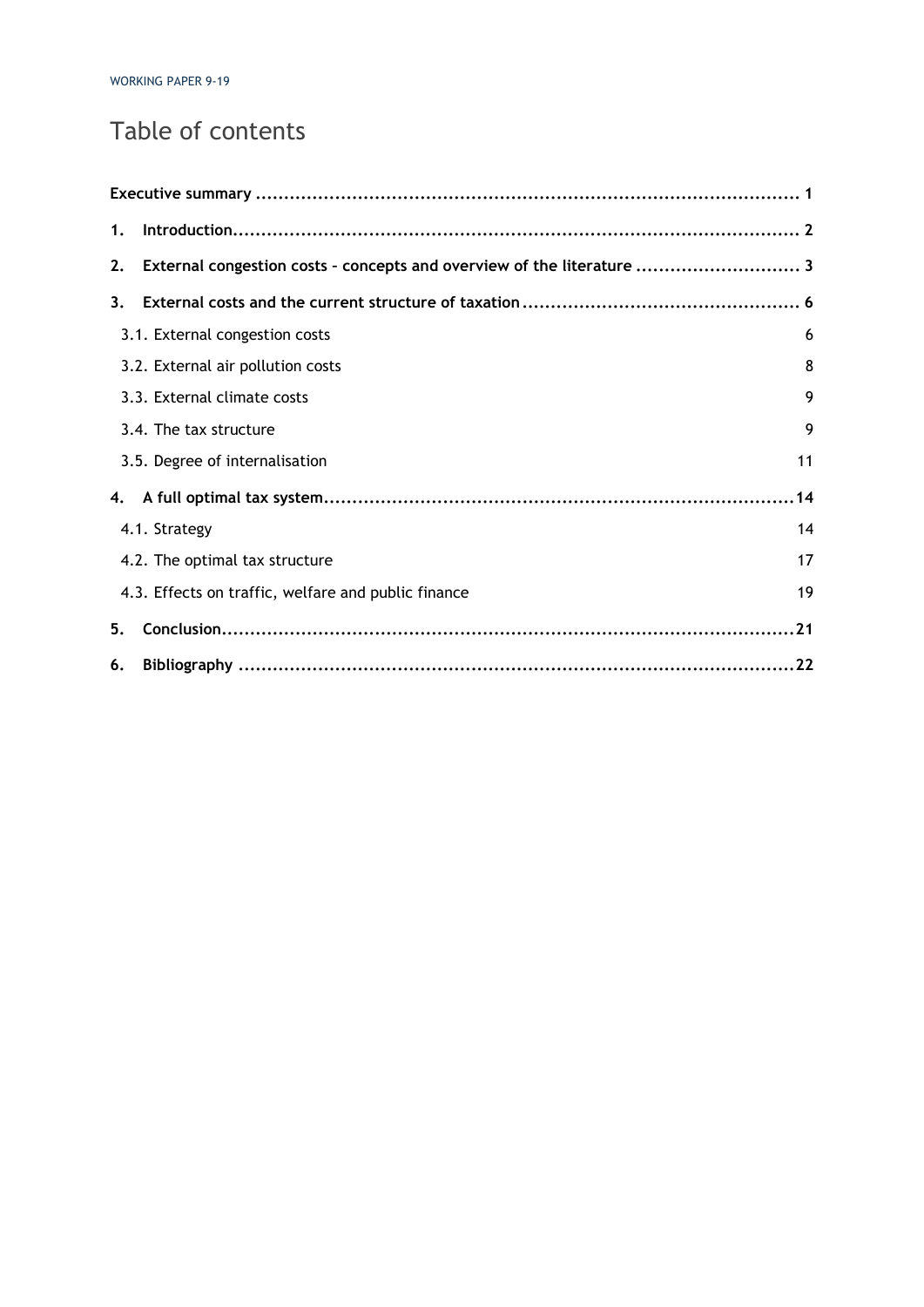# Table of contents

| 1. |                                                                        |    |
|----|------------------------------------------------------------------------|----|
| 2. | External congestion costs - concepts and overview of the literature  3 |    |
| 3. |                                                                        |    |
|    | 3.1. External congestion costs                                         | 6  |
|    | 3.2. External air pollution costs                                      | 8  |
|    | 3.3. External climate costs                                            | 9  |
|    | 3.4. The tax structure                                                 | 9  |
|    | 3.5. Degree of internalisation                                         | 11 |
|    |                                                                        |    |
|    | 4.1. Strategy                                                          | 14 |
|    | 4.2. The optimal tax structure                                         | 17 |
|    | 4.3. Effects on traffic, welfare and public finance                    | 19 |
| 5. |                                                                        |    |
| 6. |                                                                        |    |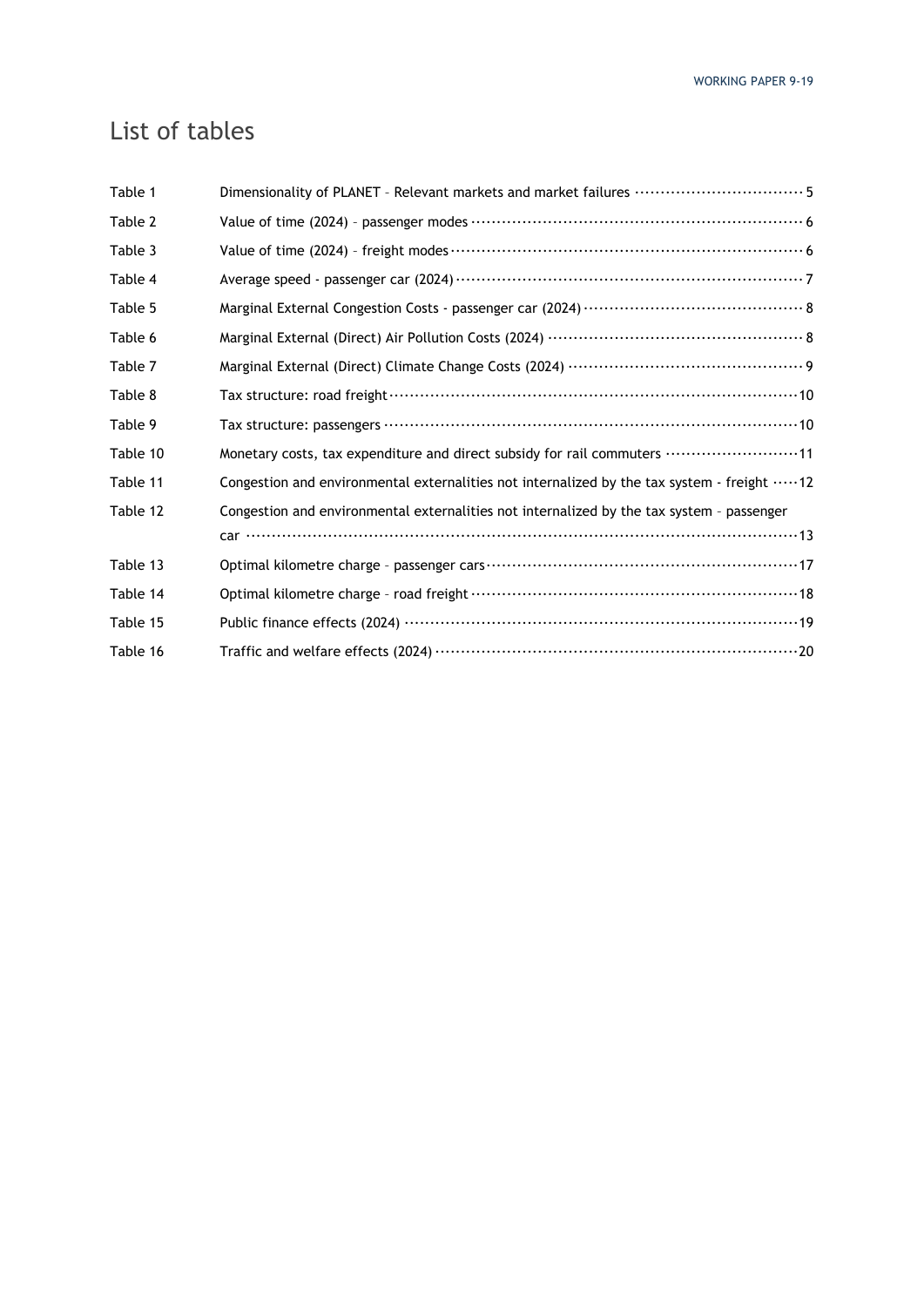# List of tables

| Dimensionality of PLANET - Relevant markets and market failures ……………………………………………5         |
|--------------------------------------------------------------------------------------------|
|                                                                                            |
|                                                                                            |
|                                                                                            |
|                                                                                            |
|                                                                                            |
| Marginal External (Direct) Climate Change Costs (2024) ……………………………………………… 9                |
|                                                                                            |
|                                                                                            |
| Monetary costs, tax expenditure and direct subsidy for rail commuters 11                   |
| Congestion and environmental externalities not internalized by the tax system - freight 12 |
| Congestion and environmental externalities not internalized by the tax system - passenger  |
|                                                                                            |
|                                                                                            |
|                                                                                            |
|                                                                                            |
|                                                                                            |
|                                                                                            |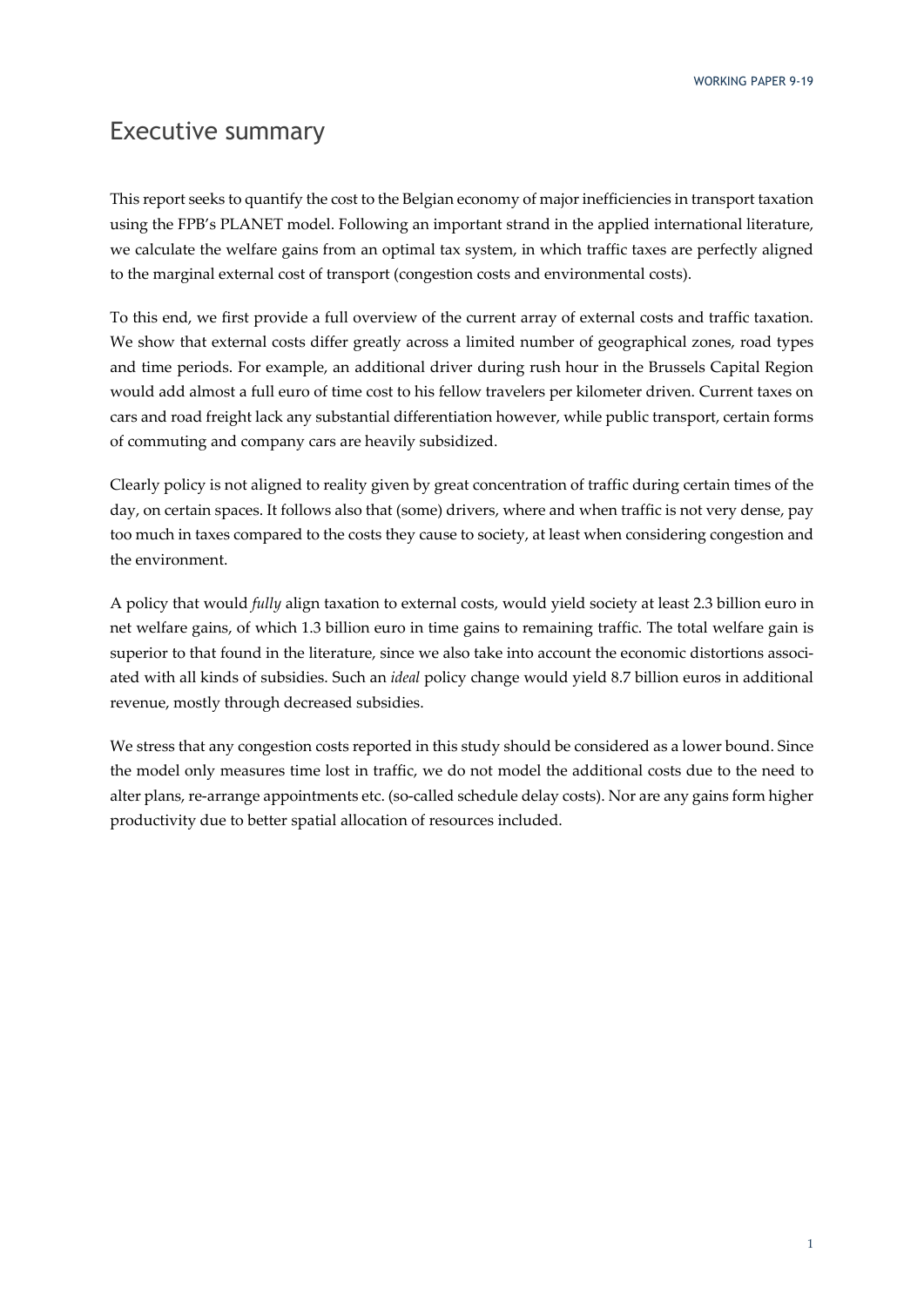### Executive summary

This report seeks to quantify the cost to the Belgian economy of major inefficiencies in transport taxation using the FPB's PLANET model. Following an important strand in the applied international literature, we calculate the welfare gains from an optimal tax system, in which traffic taxes are perfectly aligned to the marginal external cost of transport (congestion costs and environmental costs).

To this end, we first provide a full overview of the current array of external costs and traffic taxation. We show that external costs differ greatly across a limited number of geographical zones, road types and time periods. For example, an additional driver during rush hour in the Brussels Capital Region would add almost a full euro of time cost to his fellow travelers per kilometer driven. Current taxes on cars and road freight lack any substantial differentiation however, while public transport, certain forms of commuting and company cars are heavily subsidized.

Clearly policy is not aligned to reality given by great concentration of traffic during certain times of the day, on certain spaces. It follows also that (some) drivers, where and when traffic is not very dense, pay too much in taxes compared to the costs they cause to society, at least when considering congestion and the environment.

A policy that would *fully* align taxation to external costs, would yield society at least 2.3 billion euro in net welfare gains, of which 1.3 billion euro in time gains to remaining traffic. The total welfare gain is superior to that found in the literature, since we also take into account the economic distortions associated with all kinds of subsidies. Such an *ideal* policy change would yield 8.7 billion euros in additional revenue, mostly through decreased subsidies.

We stress that any congestion costs reported in this study should be considered as a lower bound. Since the model only measures time lost in traffic, we do not model the additional costs due to the need to alter plans, re-arrange appointments etc. (so-called schedule delay costs). Nor are any gains form higher productivity due to better spatial allocation of resources included.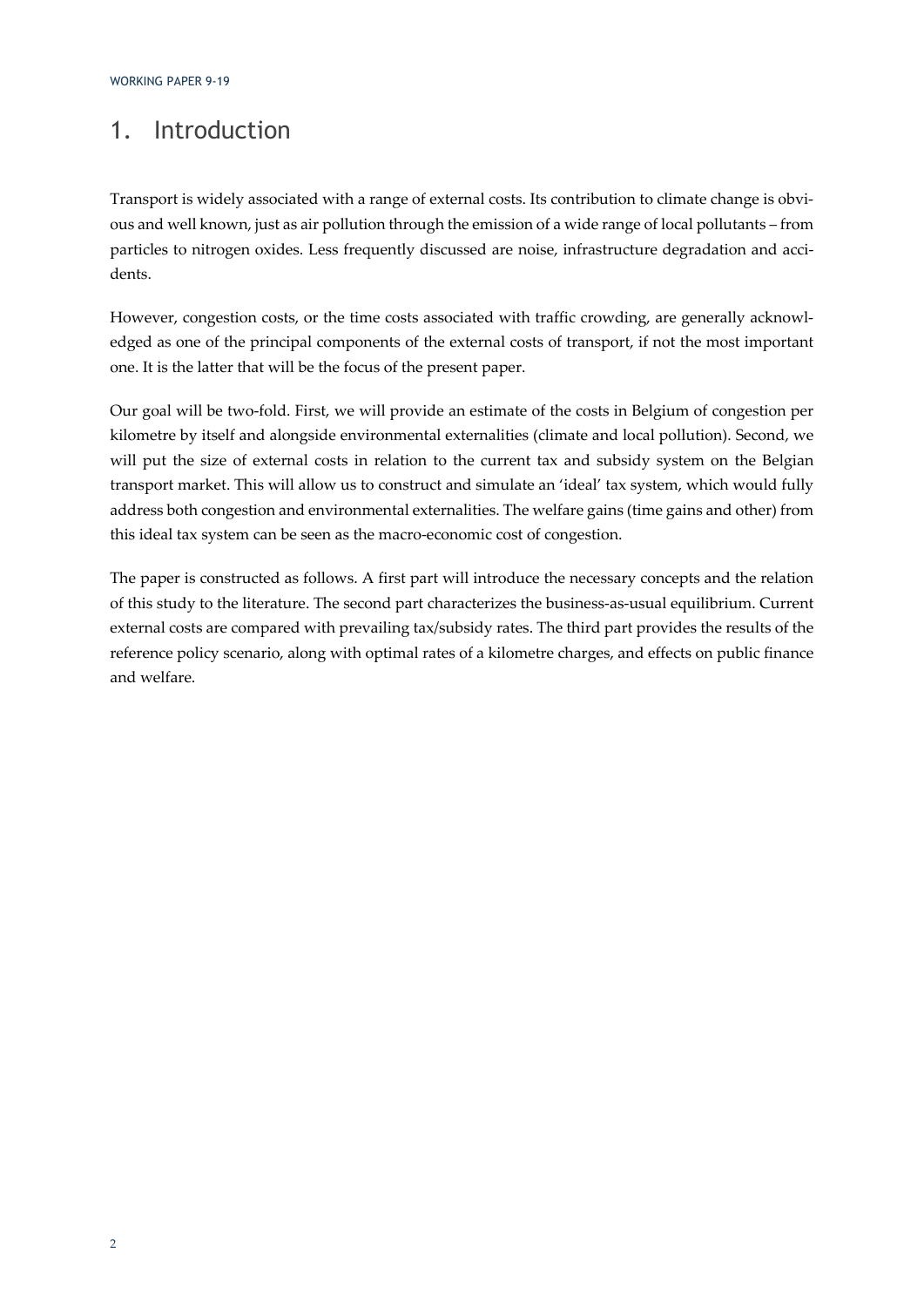### 1. Introduction

Transport is widely associated with a range of external costs. Its contribution to climate change is obvious and well known, just as air pollution through the emission of a wide range of local pollutants – from particles to nitrogen oxides. Less frequently discussed are noise, infrastructure degradation and accidents.

However, congestion costs, or the time costs associated with traffic crowding, are generally acknowledged as one of the principal components of the external costs of transport, if not the most important one. It is the latter that will be the focus of the present paper.

Our goal will be two-fold. First, we will provide an estimate of the costs in Belgium of congestion per kilometre by itself and alongside environmental externalities (climate and local pollution). Second, we will put the size of external costs in relation to the current tax and subsidy system on the Belgian transport market. This will allow us to construct and simulate an 'ideal' tax system, which would fully address both congestion and environmental externalities. The welfare gains (time gains and other) from this ideal tax system can be seen as the macro-economic cost of congestion.

The paper is constructed as follows. A first part will introduce the necessary concepts and the relation of this study to the literature. The second part characterizes the business-as-usual equilibrium. Current external costs are compared with prevailing tax/subsidy rates. The third part provides the results of the reference policy scenario, along with optimal rates of a kilometre charges, and effects on public finance and welfare.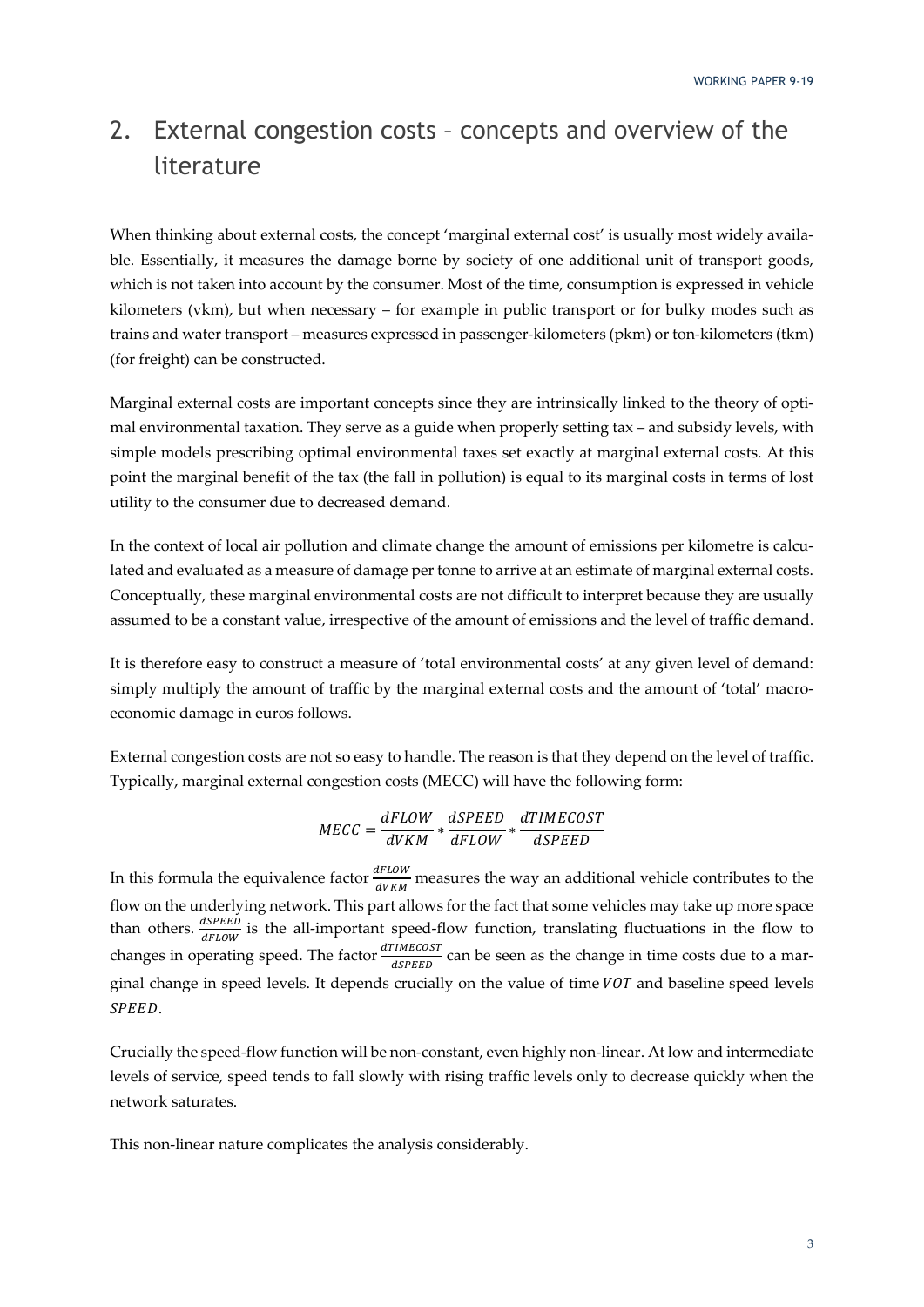# 2. External congestion costs – concepts and overview of the literature

When thinking about external costs, the concept 'marginal external cost' is usually most widely available. Essentially, it measures the damage borne by society of one additional unit of transport goods, which is not taken into account by the consumer. Most of the time, consumption is expressed in vehicle kilometers (vkm), but when necessary – for example in public transport or for bulky modes such as trains and water transport – measures expressed in passenger-kilometers (pkm) or ton-kilometers (tkm) (for freight) can be constructed.

Marginal external costs are important concepts since they are intrinsically linked to the theory of optimal environmental taxation. They serve as a guide when properly setting tax – and subsidy levels, with simple models prescribing optimal environmental taxes set exactly at marginal external costs. At this point the marginal benefit of the tax (the fall in pollution) is equal to its marginal costs in terms of lost utility to the consumer due to decreased demand.

In the context of local air pollution and climate change the amount of emissions per kilometre is calculated and evaluated as a measure of damage per tonne to arrive at an estimate of marginal external costs. Conceptually, these marginal environmental costs are not difficult to interpret because they are usually assumed to be a constant value, irrespective of the amount of emissions and the level of traffic demand.

It is therefore easy to construct a measure of 'total environmental costs' at any given level of demand: simply multiply the amount of traffic by the marginal external costs and the amount of 'total' macroeconomic damage in euros follows.

External congestion costs are not so easy to handle. The reason is that they depend on the level of traffic. Typically, marginal external congestion costs (MECC) will have the following form:

$$
MECC = \frac{dFLOW}{dVKM} * \frac{dSPEED}{dFLOW} * \frac{dTIMECOST}{dSPEED}
$$

In this formula the equivalence factor  $\frac{dFLOW}{dVKM}$  measures the way an additional vehicle contributes to the flow on the underlying network. This part allows for the fact that some vehicles may take up more space than others.  $\frac{dSPEED}{dFLOW}$  is the all-important speed-flow function, translating fluctuations in the flow to changes in operating speed. The factor  $\frac{dTIMECOST}{dSPEED}$  can be seen as the change in time costs due to a marginal change in speed levels. It depends crucially on the value of time  $VOT$  and baseline speed levels SPEED.

Crucially the speed-flow function will be non-constant, even highly non-linear. At low and intermediate levels of service, speed tends to fall slowly with rising traffic levels only to decrease quickly when the network saturates.

This non-linear nature complicates the analysis considerably.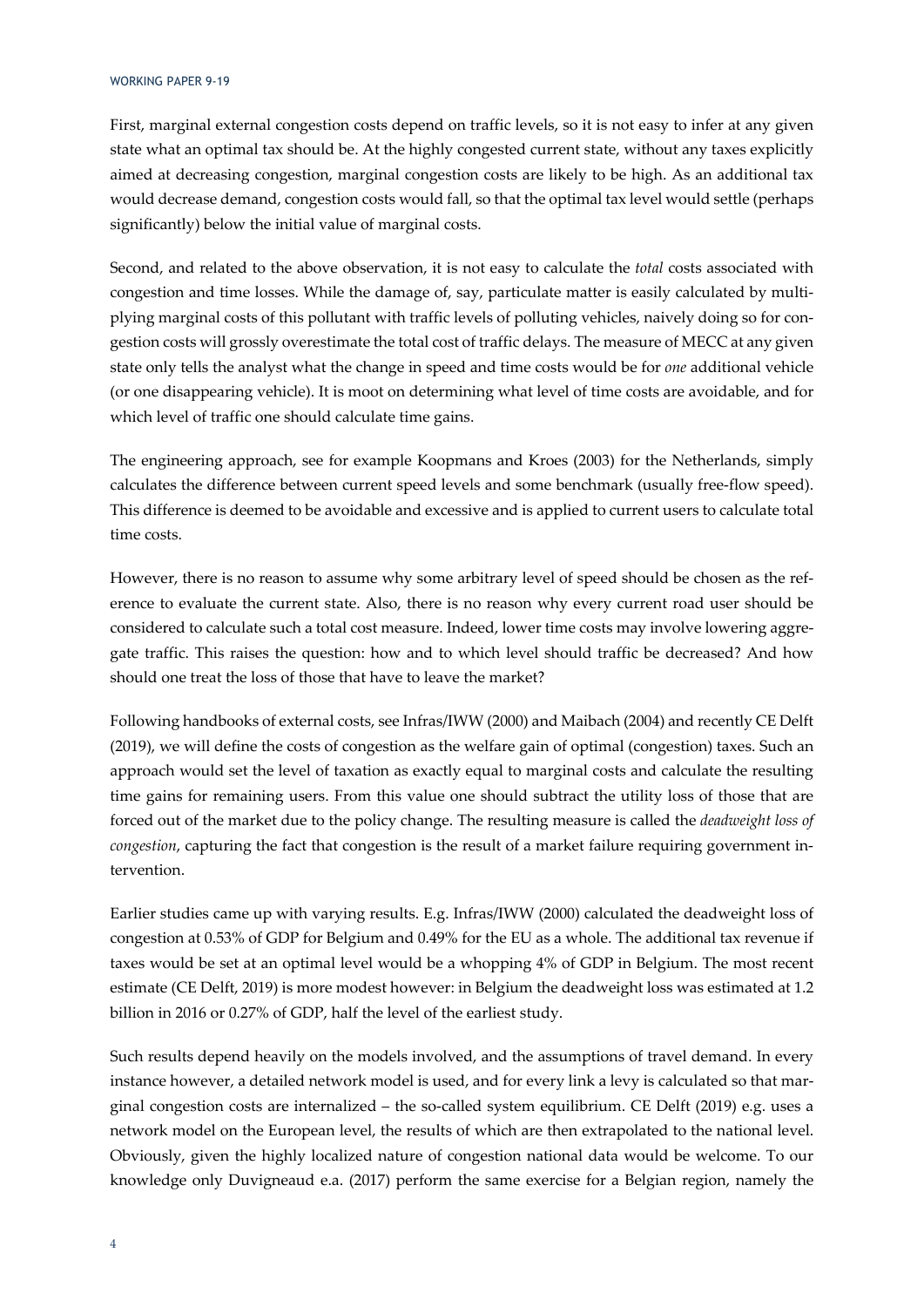First, marginal external congestion costs depend on traffic levels, so it is not easy to infer at any given state what an optimal tax should be. At the highly congested current state, without any taxes explicitly aimed at decreasing congestion, marginal congestion costs are likely to be high. As an additional tax would decrease demand, congestion costs would fall, so that the optimal tax level would settle (perhaps significantly) below the initial value of marginal costs.

Second, and related to the above observation, it is not easy to calculate the *total* costs associated with congestion and time losses. While the damage of, say, particulate matter is easily calculated by multiplying marginal costs of this pollutant with traffic levels of polluting vehicles, naively doing so for congestion costs will grossly overestimate the total cost of traffic delays. The measure of MECC at any given state only tells the analyst what the change in speed and time costs would be for *one* additional vehicle (or one disappearing vehicle). It is moot on determining what level of time costs are avoidable, and for which level of traffic one should calculate time gains.

The engineering approach, see for example Koopmans and Kroes (2003) for the Netherlands, simply calculates the difference between current speed levels and some benchmark (usually free-flow speed). This difference is deemed to be avoidable and excessive and is applied to current users to calculate total time costs.

However, there is no reason to assume why some arbitrary level of speed should be chosen as the reference to evaluate the current state. Also, there is no reason why every current road user should be considered to calculate such a total cost measure. Indeed, lower time costs may involve lowering aggregate traffic. This raises the question: how and to which level should traffic be decreased? And how should one treat the loss of those that have to leave the market?

Following handbooks of external costs, see Infras/IWW (2000) and Maibach (2004) and recently CE Delft (2019), we will define the costs of congestion as the welfare gain of optimal (congestion) taxes. Such an approach would set the level of taxation as exactly equal to marginal costs and calculate the resulting time gains for remaining users. From this value one should subtract the utility loss of those that are forced out of the market due to the policy change. The resulting measure is called the *deadweight loss of congestion*, capturing the fact that congestion is the result of a market failure requiring government intervention.

Earlier studies came up with varying results. E.g. Infras/IWW (2000) calculated the deadweight loss of congestion at 0.53% of GDP for Belgium and 0.49% for the EU as a whole. The additional tax revenue if taxes would be set at an optimal level would be a whopping 4% of GDP in Belgium. The most recent estimate (CE Delft, 2019) is more modest however: in Belgium the deadweight loss was estimated at 1.2 billion in 2016 or 0.27% of GDP, half the level of the earliest study.

Such results depend heavily on the models involved, and the assumptions of travel demand. In every instance however, a detailed network model is used, and for every link a levy is calculated so that marginal congestion costs are internalized – the so-called system equilibrium. CE Delft (2019) e.g. uses a network model on the European level, the results of which are then extrapolated to the national level. Obviously, given the highly localized nature of congestion national data would be welcome. To our knowledge only Duvigneaud e.a. (2017) perform the same exercise for a Belgian region, namely the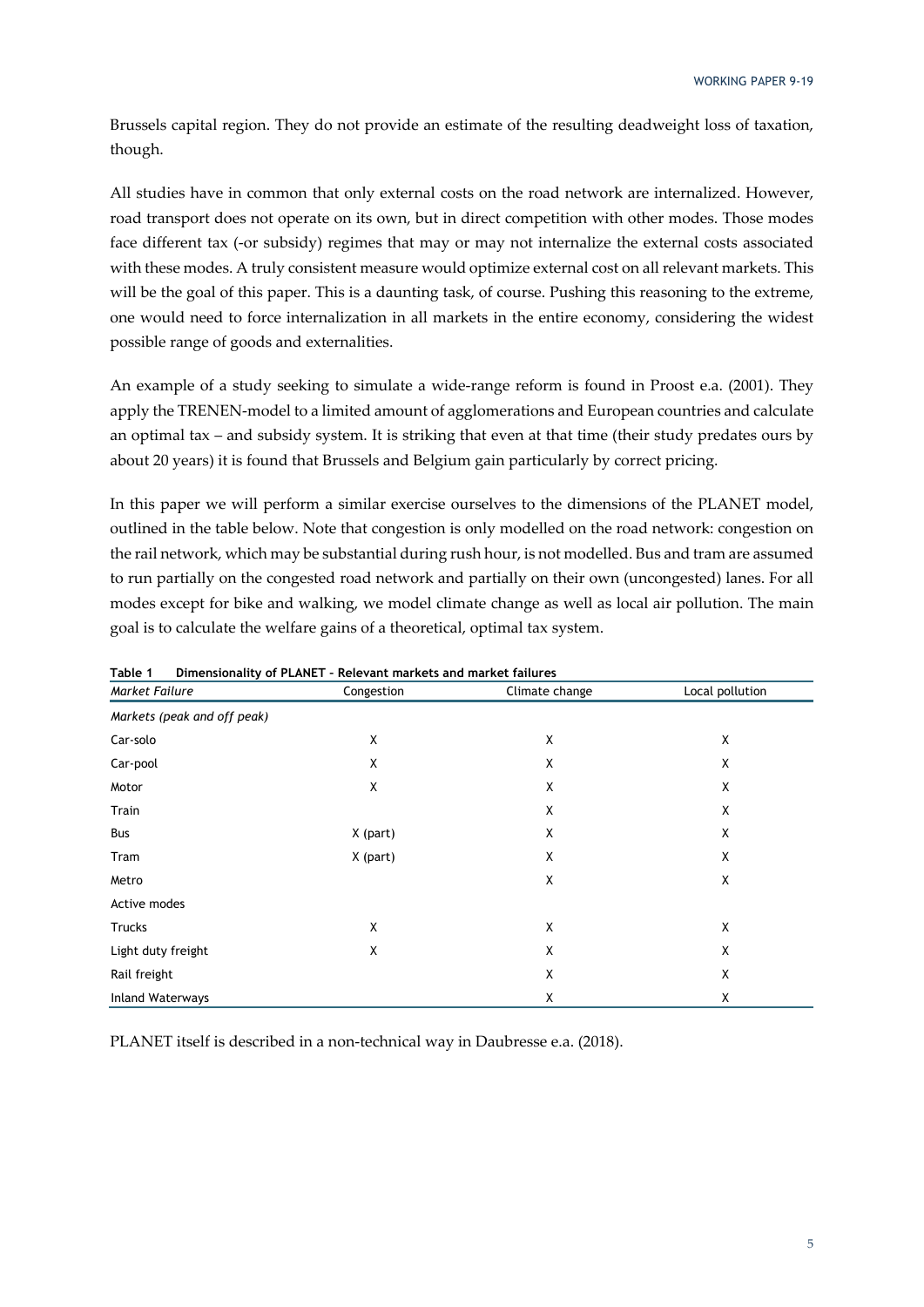Brussels capital region. They do not provide an estimate of the resulting deadweight loss of taxation, though.

All studies have in common that only external costs on the road network are internalized. However, road transport does not operate on its own, but in direct competition with other modes. Those modes face different tax (-or subsidy) regimes that may or may not internalize the external costs associated with these modes. A truly consistent measure would optimize external cost on all relevant markets. This will be the goal of this paper. This is a daunting task, of course. Pushing this reasoning to the extreme, one would need to force internalization in all markets in the entire economy, considering the widest possible range of goods and externalities.

An example of a study seeking to simulate a wide-range reform is found in Proost e.a. (2001). They apply the TRENEN-model to a limited amount of agglomerations and European countries and calculate an optimal tax – and subsidy system. It is striking that even at that time (their study predates ours by about 20 years) it is found that Brussels and Belgium gain particularly by correct pricing.

In this paper we will perform a similar exercise ourselves to the dimensions of the PLANET model, outlined in the table below. Note that congestion is only modelled on the road network: congestion on the rail network, which may be substantial during rush hour, is not modelled. Bus and tram are assumed to run partially on the congested road network and partially on their own (uncongested) lanes. For all modes except for bike and walking, we model climate change as well as local air pollution. The main goal is to calculate the welfare gains of a theoretical, optimal tax system.

| rable 1<br>Market Failure   | Dimensionality of PLANET - Relevant markets and market failures<br>Congestion | Climate change | Local pollution |
|-----------------------------|-------------------------------------------------------------------------------|----------------|-----------------|
|                             |                                                                               |                |                 |
| Markets (peak and off peak) |                                                                               |                |                 |
| Car-solo                    | Χ                                                                             | X              | X               |
| Car-pool                    | Χ                                                                             | Χ              | Χ               |
| Motor                       | Χ                                                                             | X              | Χ               |
| Train                       |                                                                               | X              | X               |
| Bus                         | X (part)                                                                      | Χ              | X               |
| Tram                        | X (part)                                                                      | Χ              | Χ               |
| Metro                       |                                                                               | X              | Χ               |
| Active modes                |                                                                               |                |                 |
| Trucks                      | Χ                                                                             | Χ              | X               |
| Light duty freight          | Χ                                                                             | Χ              | X               |
| Rail freight                |                                                                               | X              | Χ               |
| <b>Inland Waterways</b>     |                                                                               | X              | Χ               |

| Table 1 |  |  |  | Dimensionality of PLANET - Relevant markets and market failures |
|---------|--|--|--|-----------------------------------------------------------------|
|---------|--|--|--|-----------------------------------------------------------------|

PLANET itself is described in a non-technical way in Daubresse e.a. (2018).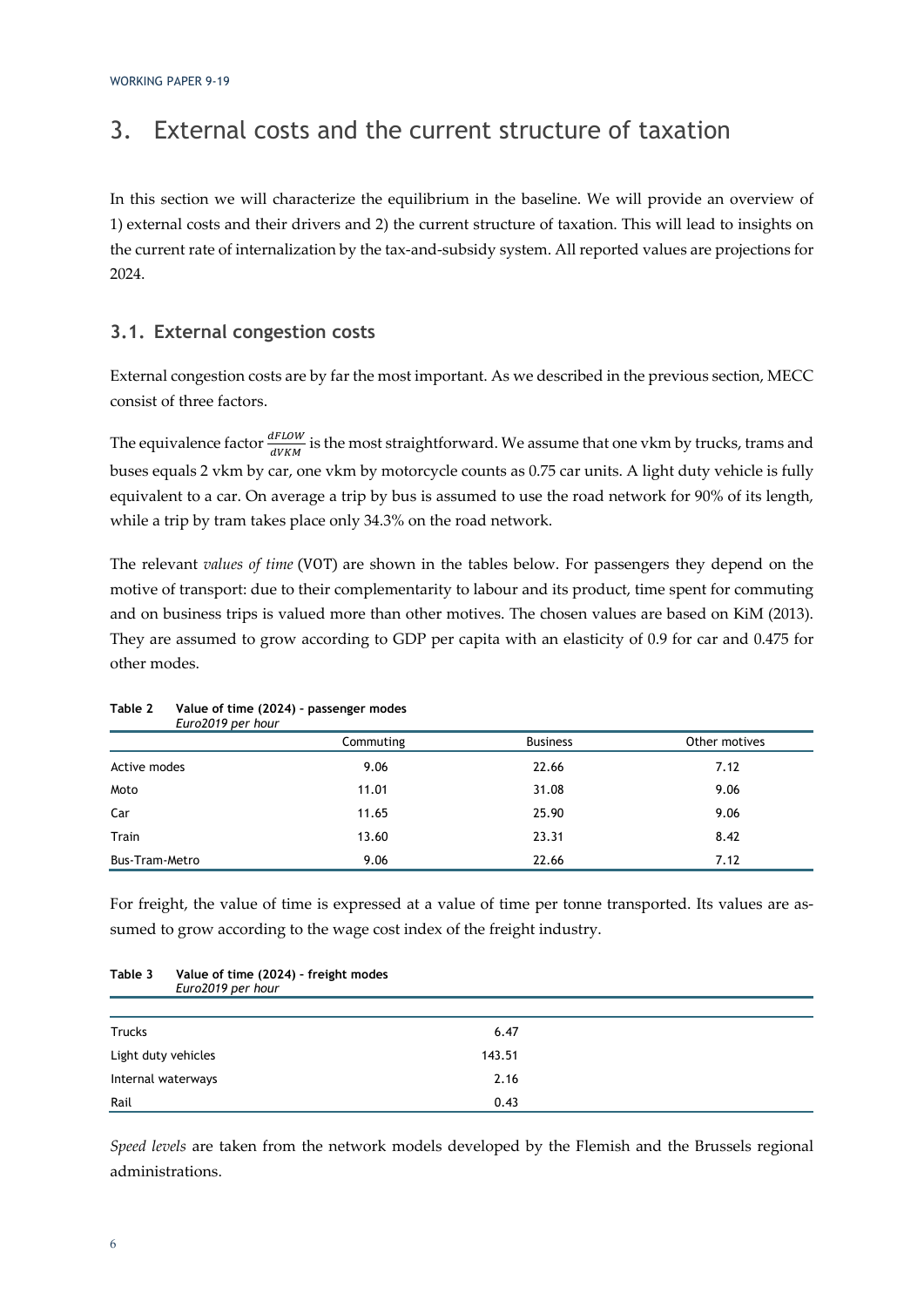# 3. External costs and the current structure of taxation

In this section we will characterize the equilibrium in the baseline. We will provide an overview of 1) external costs and their drivers and 2) the current structure of taxation. This will lead to insights on the current rate of internalization by the tax-and-subsidy system. All reported values are projections for 2024.

#### **3.1. External congestion costs**

External congestion costs are by far the most important. As we described in the previous section, MECC consist of three factors.

The equivalence factor  $\frac{dFLOW}{dVKM}$  is the most straightforward. We assume that one vkm by trucks, trams and buses equals 2 vkm by car, one vkm by motorcycle counts as 0.75 car units. A light duty vehicle is fully equivalent to a car. On average a trip by bus is assumed to use the road network for 90% of its length, while a trip by tram takes place only 34.3% on the road network.

The relevant *values of time* (VOT) are shown in the tables below. For passengers they depend on the motive of transport: due to their complementarity to labour and its product, time spent for commuting and on business trips is valued more than other motives. The chosen values are based on KiM (2013). They are assumed to grow according to GDP per capita with an elasticity of 0.9 for car and 0.475 for other modes.

| EUIOZOTY DEI TIOUI |           |                 |               |
|--------------------|-----------|-----------------|---------------|
|                    | Commuting | <b>Business</b> | Other motives |
| Active modes       | 9.06      | 22.66           | 7.12          |
| Moto               | 11.01     | 31.08           | 9.06          |
| Car                | 11.65     | 25.90           | 9.06          |
| Train              | 13.60     | 23.31           | 8.42          |
| Bus-Tram-Metro     | 9.06      | 22.66           | 7.12          |

#### **Table 2 Value of time (2024) – passenger modes**  *Euro2019 per hour*

For freight, the value of time is expressed at a value of time per tonne transported. Its values are assumed to grow according to the wage cost index of the freight industry.

| rapie J             | value of three (2027) - freight modes<br>Euro2019 per hour |        |  |
|---------------------|------------------------------------------------------------|--------|--|
|                     |                                                            |        |  |
| <b>Trucks</b>       |                                                            | 6.47   |  |
| Light duty vehicles |                                                            | 143.51 |  |
| Internal waterways  |                                                            | 2.16   |  |
| Rail                |                                                            | 0.43   |  |

# **Table 3 Value of time (2024) – freight modes**

*Speed levels* are taken from the network models developed by the Flemish and the Brussels regional administrations.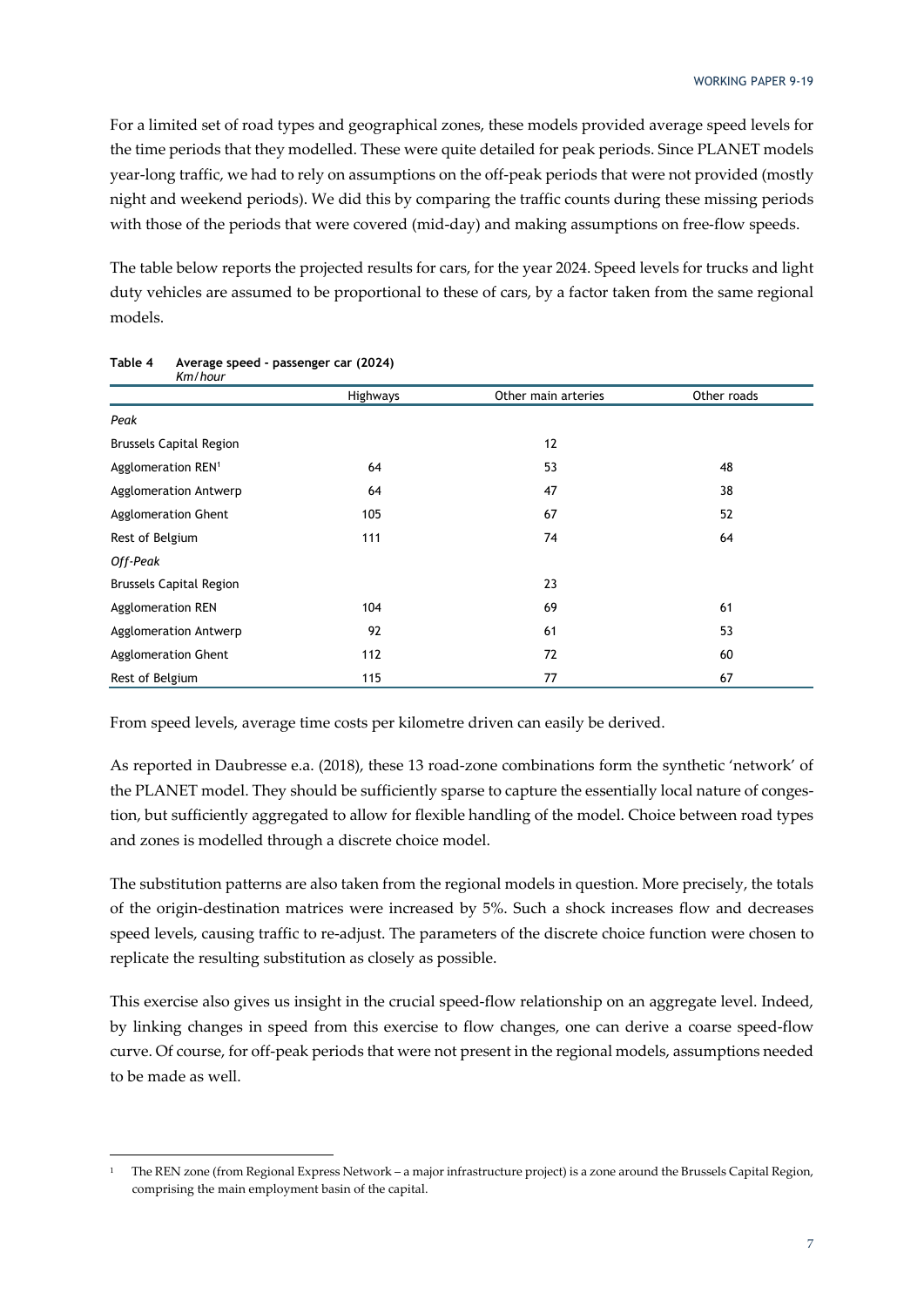For a limited set of road types and geographical zones, these models provided average speed levels for the time periods that they modelled. These were quite detailed for peak periods. Since PLANET models year-long traffic, we had to rely on assumptions on the off-peak periods that were not provided (mostly night and weekend periods). We did this by comparing the traffic counts during these missing periods with those of the periods that were covered (mid-day) and making assumptions on free-flow speeds.

The table below reports the projected results for cars, for the year 2024. Speed levels for trucks and light duty vehicles are assumed to be proportional to these of cars, by a factor taken from the same regional models.

| Km/hour                        |          |                     |             |
|--------------------------------|----------|---------------------|-------------|
|                                | Highways | Other main arteries | Other roads |
| Peak                           |          |                     |             |
| <b>Brussels Capital Region</b> |          | 12                  |             |
| Agglomeration REN <sup>1</sup> | 64       | 53                  | 48          |
| Agglomeration Antwerp          | 64       | 47                  | 38          |
| <b>Agglomeration Ghent</b>     | 105      | 67                  | 52          |
| Rest of Belgium                | 111      | 74                  | 64          |
| Off-Peak                       |          |                     |             |
| <b>Brussels Capital Region</b> |          | 23                  |             |
| <b>Agglomeration REN</b>       | 104      | 69                  | 61          |
| Agglomeration Antwerp          | 92       | 61                  | 53          |
| <b>Agglomeration Ghent</b>     | 112      | 72                  | 60          |
| Rest of Belgium                | 115      | 77                  | 67          |

#### **Table 4 Average speed - passenger car (2024)**

From speed levels, average time costs per kilometre driven can easily be derived.

As reported in Daubresse e.a. (2018), these 13 road-zone combinations form the synthetic 'network' of the PLANET model. They should be sufficiently sparse to capture the essentially local nature of congestion, but sufficiently aggregated to allow for flexible handling of the model. Choice between road types and zones is modelled through a discrete choice model.

The substitution patterns are also taken from the regional models in question. More precisely, the totals of the origin-destination matrices were increased by 5%. Such a shock increases flow and decreases speed levels, causing traffic to re-adjust. The parameters of the discrete choice function were chosen to replicate the resulting substitution as closely as possible.

This exercise also gives us insight in the crucial speed-flow relationship on an aggregate level. Indeed, by linking changes in speed from this exercise to flow changes, one can derive a coarse speed-flow curve. Of course, for off-peak periods that were not present in the regional models, assumptions needed to be made as well.

<sup>1</sup> The REN zone (from Regional Express Network – a major infrastructure project) is a zone around the Brussels Capital Region, comprising the main employment basin of the capital.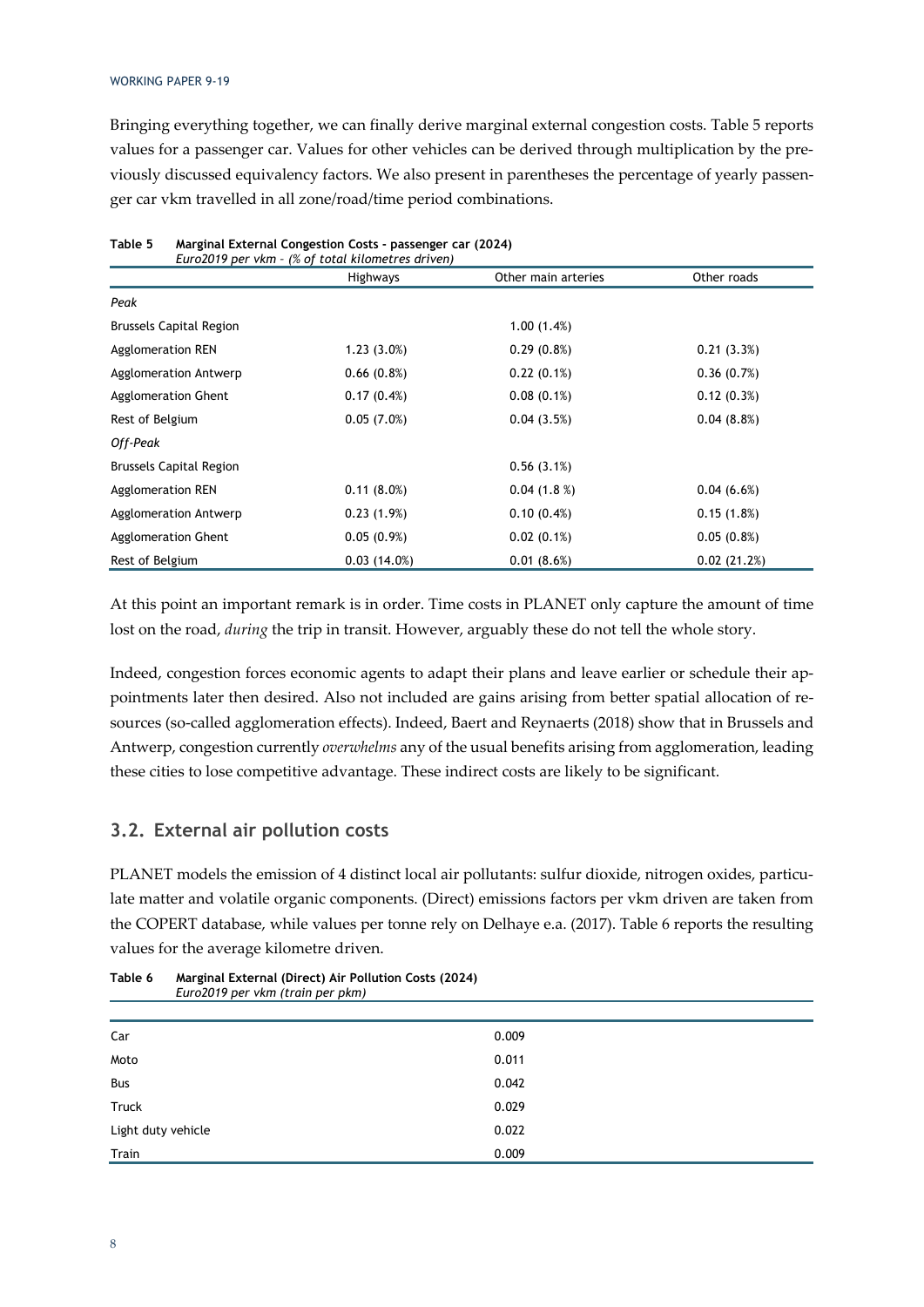Bringing everything together, we can finally derive marginal external congestion costs. Table 5 reports values for a passenger car. Values for other vehicles can be derived through multiplication by the previously discussed equivalency factors. We also present in parentheses the percentage of yearly passenger car vkm travelled in all zone/road/time period combinations.

|                                | Euro2019 per vkm - (% of total kilometres driven) |                     |             |
|--------------------------------|---------------------------------------------------|---------------------|-------------|
|                                | <b>Highways</b>                                   | Other main arteries | Other roads |
| Peak                           |                                                   |                     |             |
| <b>Brussels Capital Region</b> |                                                   | 1.00(1.4%)          |             |
| Agglomeration REN              | $1.23(3.0\%)$                                     | $0.29(0.8\%)$       | 0.21(3.3%)  |
| Agglomeration Antwerp          | 0.66(0.8%)                                        | 0.22(0.1%)          | 0.36(0.7%)  |
| Agglomeration Ghent            | 0.17(0.4%)                                        | $0.08(0.1\%)$       | 0.12(0.3%)  |
| Rest of Belgium                | 0.05(7.0%)                                        | 0.04(3.5%)          | 0.04(8.8%)  |
| Off-Peak                       |                                                   |                     |             |
| <b>Brussels Capital Region</b> |                                                   | 0.56(3.1%)          |             |
| Agglomeration REN              | 0.11(8.0%)                                        | 0.04(1.8%)          | 0.04(6.6%)  |
| Agglomeration Antwerp          | 0.23(1.9%)                                        | 0.10(0.4%)          | 0.15(1.8%)  |
| Agglomeration Ghent            | 0.05(0.9%)                                        | $0.02(0.1\%)$       | 0.05(0.8%)  |
| Rest of Belgium                | 0.03(14.0%)                                       | 0.01(8.6%)          | 0.02(21.2%) |

**Table 5 Marginal External Congestion Costs - passenger car (2024)** 

At this point an important remark is in order. Time costs in PLANET only capture the amount of time lost on the road, *during* the trip in transit. However, arguably these do not tell the whole story.

Indeed, congestion forces economic agents to adapt their plans and leave earlier or schedule their appointments later then desired. Also not included are gains arising from better spatial allocation of resources (so-called agglomeration effects). Indeed, Baert and Reynaerts (2018) show that in Brussels and Antwerp, congestion currently *overwhelms* any of the usual benefits arising from agglomeration, leading these cities to lose competitive advantage. These indirect costs are likely to be significant.

#### **3.2. External air pollution costs**

PLANET models the emission of 4 distinct local air pollutants: sulfur dioxide, nitrogen oxides, particulate matter and volatile organic components. (Direct) emissions factors per vkm driven are taken from the COPERT database, while values per tonne rely on Delhaye e.a. (2017). Table 6 reports the resulting values for the average kilometre driven.

| Car                | 0.009 |  |
|--------------------|-------|--|
| Moto               | 0.011 |  |
| Bus                | 0.042 |  |
| Truck              | 0.029 |  |
| Light duty vehicle | 0.022 |  |
| Train              | 0.009 |  |

**Table 6 Marginal External (Direct) Air Pollution Costs (2024)**  *Euro2019 per vkm (train per pkm)*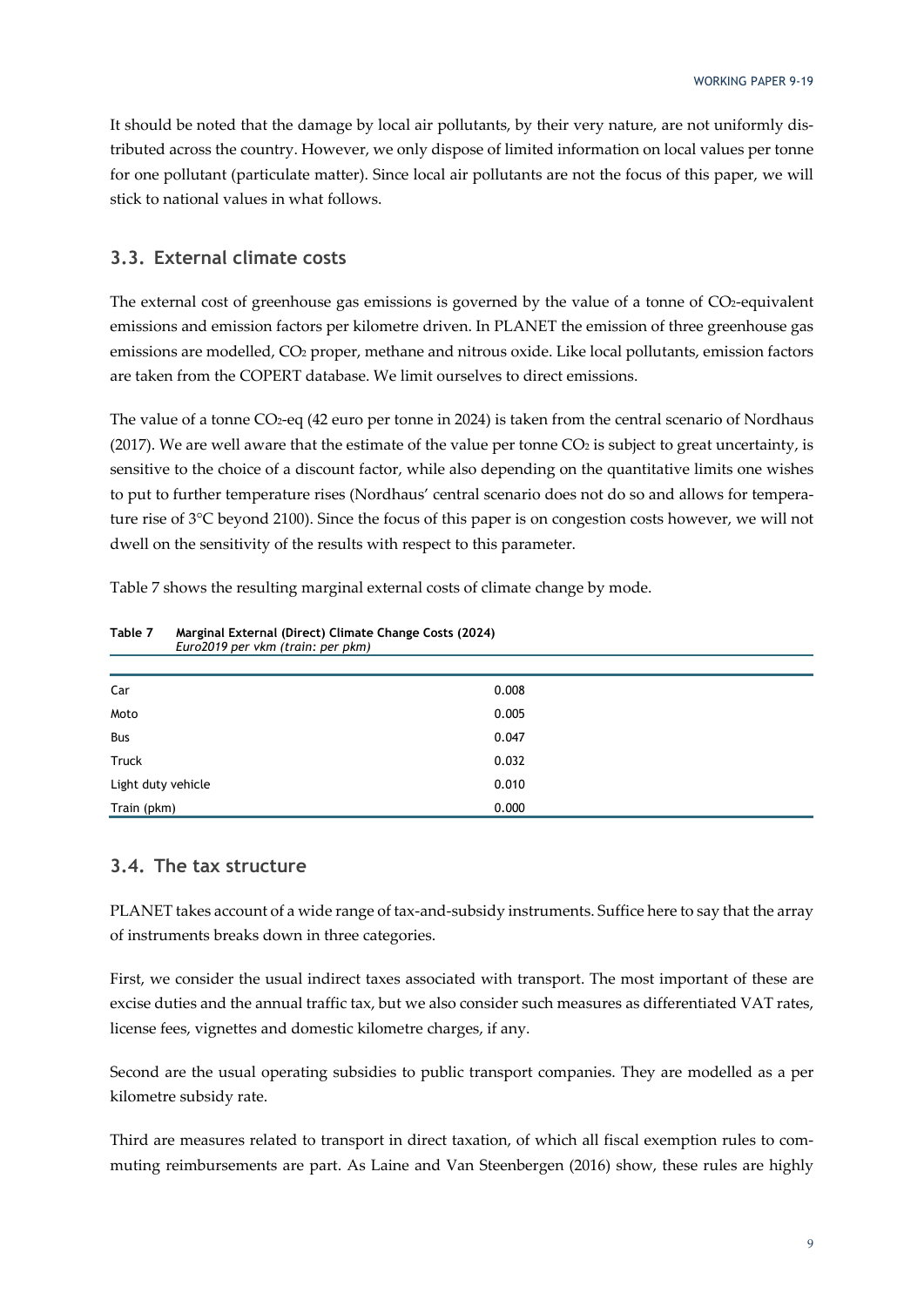It should be noted that the damage by local air pollutants, by their very nature, are not uniformly distributed across the country. However, we only dispose of limited information on local values per tonne for one pollutant (particulate matter). Since local air pollutants are not the focus of this paper, we will stick to national values in what follows.

#### **3.3. External climate costs**

The external cost of greenhouse gas emissions is governed by the value of a tonne of CO2-equivalent emissions and emission factors per kilometre driven. In PLANET the emission of three greenhouse gas emissions are modelled, CO2 proper, methane and nitrous oxide. Like local pollutants, emission factors are taken from the COPERT database. We limit ourselves to direct emissions.

The value of a tonne CO<sub>2</sub>-eq (42 euro per tonne in 2024) is taken from the central scenario of Nordhaus (2017). We are well aware that the estimate of the value per tonne  $CO<sub>2</sub>$  is subject to great uncertainty, is sensitive to the choice of a discount factor, while also depending on the quantitative limits one wishes to put to further temperature rises (Nordhaus' central scenario does not do so and allows for temperature rise of 3°C beyond 2100). Since the focus of this paper is on congestion costs however, we will not dwell on the sensitivity of the results with respect to this parameter.

Table 7 shows the resulting marginal external costs of climate change by mode.

| Car                | 0.008 |
|--------------------|-------|
| Moto               | 0.005 |
| Bus                | 0.047 |
| Truck              | 0.032 |
| Light duty vehicle | 0.010 |
| Train (pkm)        | 0.000 |

**Table 7 Marginal External (Direct) Climate Change Costs (2024)**  *Euro2019 per vkm (train: per pkm)* 

#### **3.4. The tax structure**

PLANET takes account of a wide range of tax-and-subsidy instruments. Suffice here to say that the array of instruments breaks down in three categories.

First, we consider the usual indirect taxes associated with transport. The most important of these are excise duties and the annual traffic tax, but we also consider such measures as differentiated VAT rates, license fees, vignettes and domestic kilometre charges, if any.

Second are the usual operating subsidies to public transport companies. They are modelled as a per kilometre subsidy rate.

Third are measures related to transport in direct taxation, of which all fiscal exemption rules to commuting reimbursements are part. As Laine and Van Steenbergen (2016) show, these rules are highly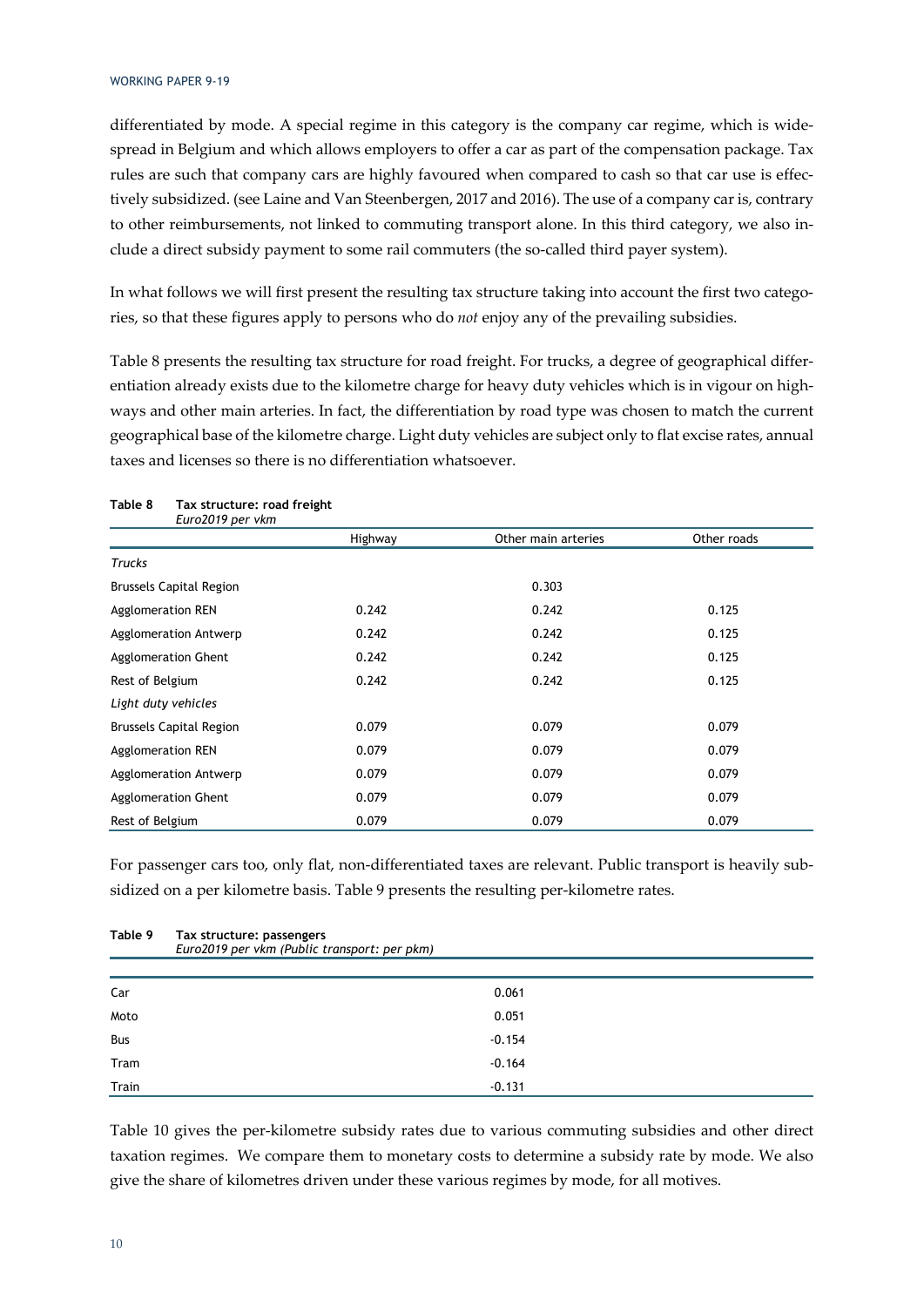differentiated by mode. A special regime in this category is the company car regime, which is widespread in Belgium and which allows employers to offer a car as part of the compensation package. Tax rules are such that company cars are highly favoured when compared to cash so that car use is effectively subsidized. (see Laine and Van Steenbergen, 2017 and 2016). The use of a company car is, contrary to other reimbursements, not linked to commuting transport alone. In this third category, we also include a direct subsidy payment to some rail commuters (the so-called third payer system).

In what follows we will first present the resulting tax structure taking into account the first two categories, so that these figures apply to persons who do *not* enjoy any of the prevailing subsidies.

Table 8 presents the resulting tax structure for road freight. For trucks, a degree of geographical differentiation already exists due to the kilometre charge for heavy duty vehicles which is in vigour on highways and other main arteries. In fact, the differentiation by road type was chosen to match the current geographical base of the kilometre charge. Light duty vehicles are subject only to flat excise rates, annual taxes and licenses so there is no differentiation whatsoever.

| Euro2019 per vkm               |         |                     |             |
|--------------------------------|---------|---------------------|-------------|
|                                | Highway | Other main arteries | Other roads |
| <b>Trucks</b>                  |         |                     |             |
| <b>Brussels Capital Region</b> |         | 0.303               |             |
| Agglomeration REN              | 0.242   | 0.242               | 0.125       |
| Agglomeration Antwerp          | 0.242   | 0.242               | 0.125       |
| <b>Agglomeration Ghent</b>     | 0.242   | 0.242               | 0.125       |
| Rest of Belgium                | 0.242   | 0.242               | 0.125       |
| Light duty vehicles            |         |                     |             |
| <b>Brussels Capital Region</b> | 0.079   | 0.079               | 0.079       |
| <b>Agglomeration REN</b>       | 0.079   | 0.079               | 0.079       |
| Agglomeration Antwerp          | 0.079   | 0.079               | 0.079       |
| <b>Agglomeration Ghent</b>     | 0.079   | 0.079               | 0.079       |
| Rest of Belgium                | 0.079   | 0.079               | 0.079       |

### **Table 8 Tax structure: road freight**

For passenger cars too, only flat, non-differentiated taxes are relevant. Public transport is heavily subsidized on a per kilometre basis. Table 9 presents the resulting per-kilometre rates.

| Table 9 | Tax structure: passengers<br>Euro2019 per vkm (Public transport: per pkm) |  |
|---------|---------------------------------------------------------------------------|--|
|         |                                                                           |  |
| Car     | 0.061                                                                     |  |
| Moto    | 0.051                                                                     |  |
| Bus     | $-0.154$                                                                  |  |
| Tram    | $-0.164$                                                                  |  |
| Train   | $-0.131$                                                                  |  |

Table 10 gives the per-kilometre subsidy rates due to various commuting subsidies and other direct taxation regimes. We compare them to monetary costs to determine a subsidy rate by mode. We also give the share of kilometres driven under these various regimes by mode, for all motives.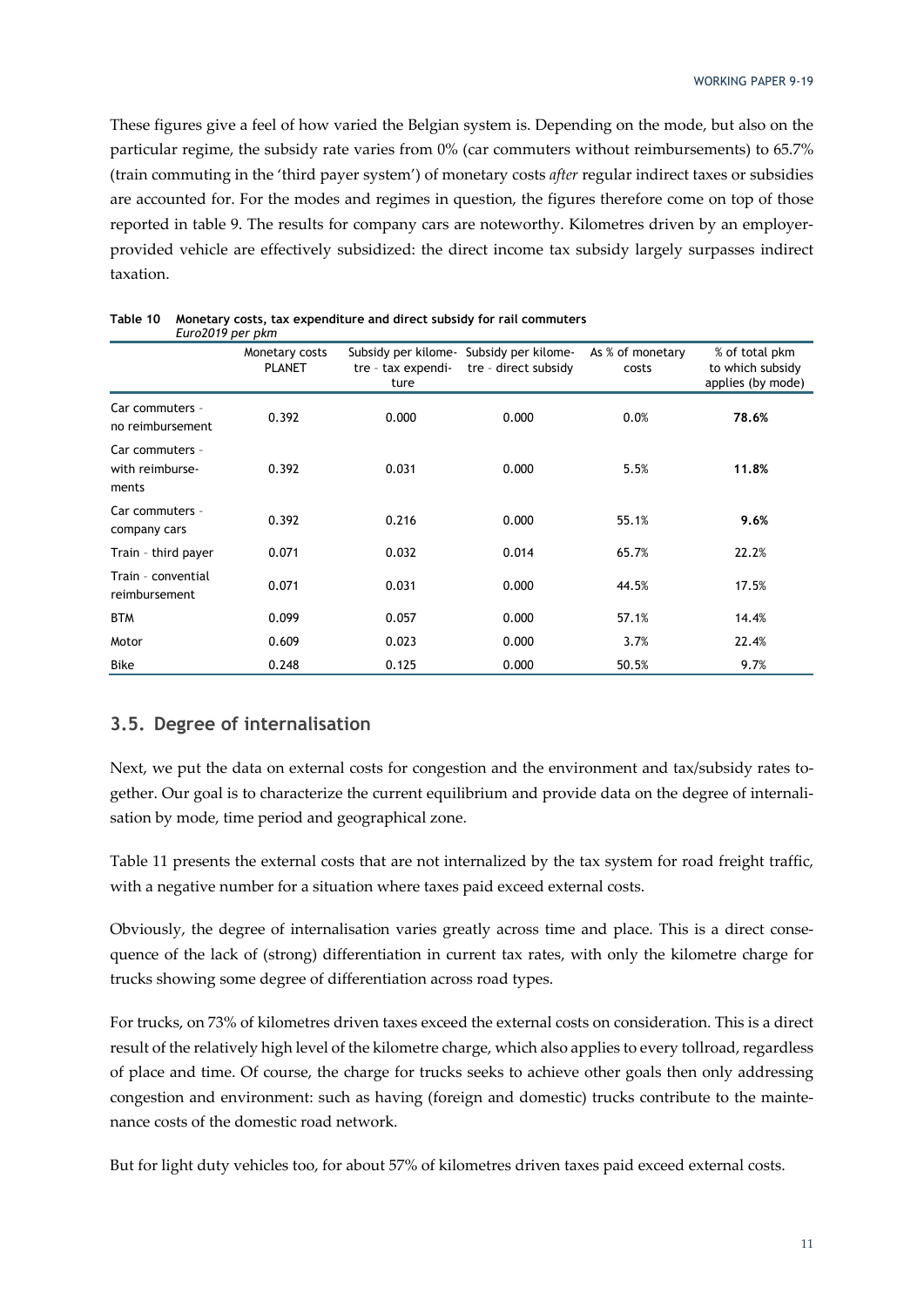These figures give a feel of how varied the Belgian system is. Depending on the mode, but also on the particular regime, the subsidy rate varies from 0% (car commuters without reimbursements) to 65.7% (train commuting in the 'third payer system') of monetary costs *after* regular indirect taxes or subsidies are accounted for. For the modes and regimes in question, the figures therefore come on top of those reported in table 9. The results for company cars are noteworthy. Kilometres driven by an employerprovided vehicle are effectively subsidized: the direct income tax subsidy largely surpasses indirect taxation.

| LUIVLUTT PUT PINIT                          |                                 |                                                   |                                             |                           |                                                         |
|---------------------------------------------|---------------------------------|---------------------------------------------------|---------------------------------------------|---------------------------|---------------------------------------------------------|
|                                             | Monetary costs<br><b>PLANET</b> | Subsidy per kilome-<br>tre - tax expendi-<br>ture | Subsidy per kilome-<br>tre - direct subsidy | As % of monetary<br>costs | % of total pkm<br>to which subsidy<br>applies (by mode) |
| Car commuters -<br>no reimbursement         | 0.392                           | 0.000                                             | 0.000                                       | 0.0%                      | 78.6%                                                   |
| Car commuters -<br>with reimburse-<br>ments | 0.392                           | 0.031                                             | 0.000                                       | 5.5%                      | 11.8%                                                   |
| Car commuters -<br>company cars             | 0.392                           | 0.216                                             | 0.000                                       | 55.1%                     | 9.6%                                                    |
| Train - third payer                         | 0.071                           | 0.032                                             | 0.014                                       | 65.7%                     | 22.2%                                                   |
| Train - convential<br>reimbursement         | 0.071                           | 0.031                                             | 0.000                                       | 44.5%                     | 17.5%                                                   |
| <b>BTM</b>                                  | 0.099                           | 0.057                                             | 0.000                                       | 57.1%                     | 14.4%                                                   |
| Motor                                       | 0.609                           | 0.023                                             | 0.000                                       | 3.7%                      | 22.4%                                                   |
| <b>Bike</b>                                 | 0.248                           | 0.125                                             | 0.000                                       | 50.5%                     | 9.7%                                                    |

| Table 10 Monetary costs, tax expenditure and direct subsidy for rail commuters |
|--------------------------------------------------------------------------------|
| Furo2019 per pkm                                                               |

#### **3.5. Degree of internalisation**

Next, we put the data on external costs for congestion and the environment and tax/subsidy rates together. Our goal is to characterize the current equilibrium and provide data on the degree of internalisation by mode, time period and geographical zone.

Table 11 presents the external costs that are not internalized by the tax system for road freight traffic, with a negative number for a situation where taxes paid exceed external costs.

Obviously, the degree of internalisation varies greatly across time and place. This is a direct consequence of the lack of (strong) differentiation in current tax rates, with only the kilometre charge for trucks showing some degree of differentiation across road types.

For trucks, on 73% of kilometres driven taxes exceed the external costs on consideration. This is a direct result of the relatively high level of the kilometre charge, which also applies to every tollroad, regardless of place and time. Of course, the charge for trucks seeks to achieve other goals then only addressing congestion and environment: such as having (foreign and domestic) trucks contribute to the maintenance costs of the domestic road network.

But for light duty vehicles too, for about 57% of kilometres driven taxes paid exceed external costs.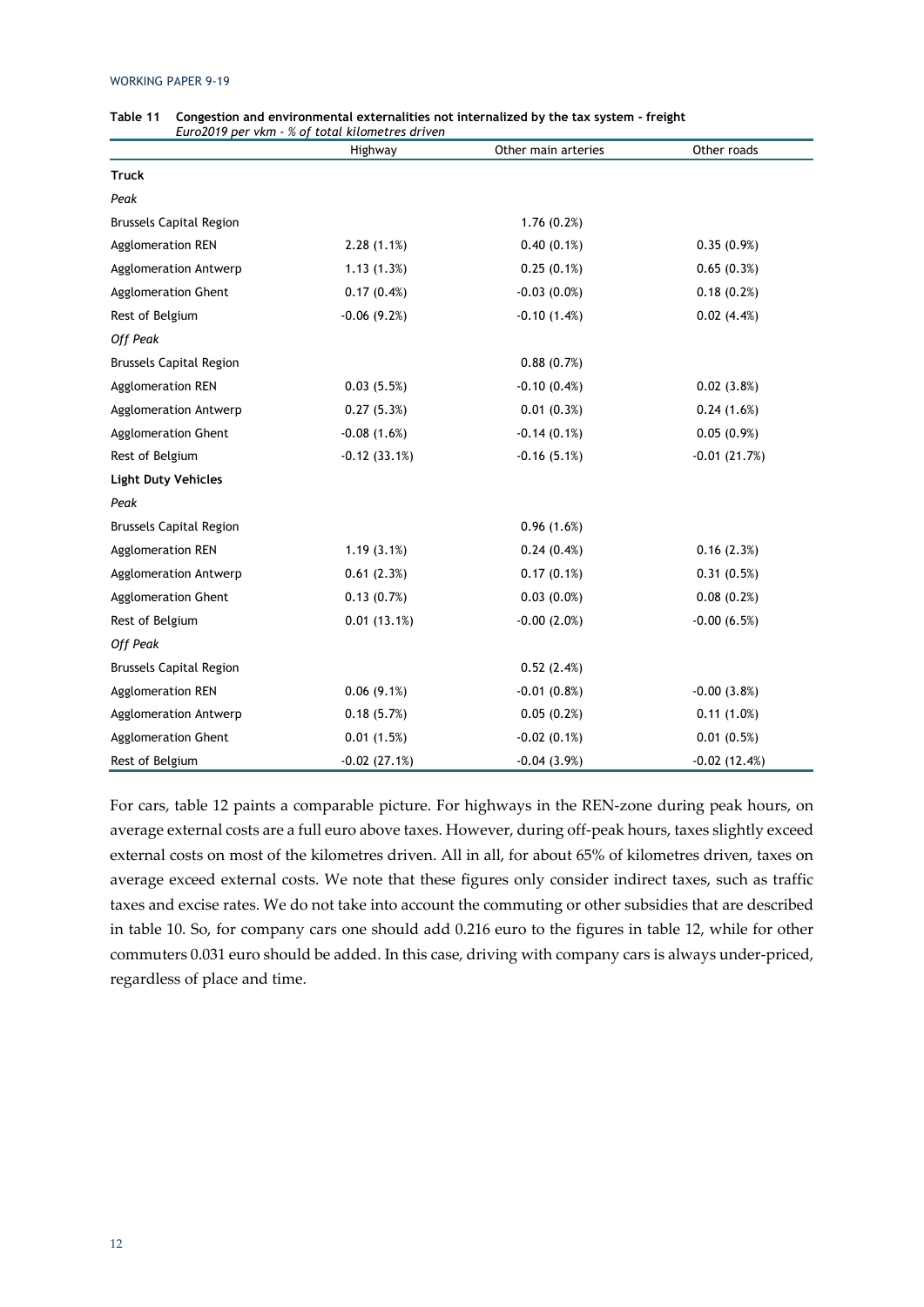|                                | Euro2019 per vkm - % of total kilometres driven<br>Highway | Other main arteries | Other roads    |
|--------------------------------|------------------------------------------------------------|---------------------|----------------|
| <b>Truck</b>                   |                                                            |                     |                |
| Peak                           |                                                            |                     |                |
| <b>Brussels Capital Region</b> |                                                            | 1.76(0.2%)          |                |
| Agglomeration REN              | 2.28(1.1%)                                                 | $0.40(0.1\%)$       | 0.35(0.9%)     |
| Agglomeration Antwerp          | 1.13(1.3%)                                                 | $0.25(0.1\%)$       | 0.65(0.3%)     |
| <b>Agglomeration Ghent</b>     | 0.17(0.4%)                                                 | $-0.03(0.0\%)$      | 0.18(0.2%)     |
| Rest of Belgium                | $-0.06(9.2%)$                                              | $-0.10(1.4%)$       | 0.02(4.4%)     |
| <b>Off Peak</b>                |                                                            |                     |                |
| <b>Brussels Capital Region</b> |                                                            | 0.88(0.7%)          |                |
| <b>Agglomeration REN</b>       | 0.03(5.5%)                                                 | $-0.10(0.4%)$       | 0.02(3.8%)     |
| <b>Agglomeration Antwerp</b>   | 0.27(5.3%)                                                 | 0.01(0.3%)          | 0.24(1.6%)     |
| Agglomeration Ghent            | $-0.08(1.6%)$                                              | $-0.14(0.1%)$       | 0.05(0.9%)     |
| Rest of Belgium                | $-0.12(33.1%)$                                             | $-0.16(5.1%)$       | $-0.01(21.7%)$ |
| <b>Light Duty Vehicles</b>     |                                                            |                     |                |
| Peak                           |                                                            |                     |                |
| <b>Brussels Capital Region</b> |                                                            | 0.96(1.6%)          |                |
| <b>Agglomeration REN</b>       | 1.19(3.1%)                                                 | 0.24(0.4%)          | 0.16(2.3%)     |
| Agglomeration Antwerp          | 0.61(2.3%)                                                 | 0.17(0.1%)          | 0.31(0.5%)     |
| <b>Agglomeration Ghent</b>     | 0.13(0.7%)                                                 | $0.03(0.0\%)$       | 0.08(0.2%)     |
| Rest of Belgium                | 0.01(13.1%)                                                | $-0.00(2.0%)$       | $-0.00(6.5%)$  |
| Off Peak                       |                                                            |                     |                |
| <b>Brussels Capital Region</b> |                                                            | 0.52(2.4%)          |                |
| <b>Agglomeration REN</b>       | $0.06(9.1\%)$                                              | $-0.01(0.8%)$       | $-0.00(3.8%)$  |
| Agglomeration Antwerp          | 0.18(5.7%)                                                 | 0.05(0.2%)          | 0.11(1.0%)     |
| Agglomeration Ghent            | 0.01(1.5%)                                                 | $-0.02(0.1\%)$      | 0.01(0.5%)     |
| Rest of Belgium                | $-0.02(27.1%)$                                             | $-0.04(3.9%)$       | $-0.02(12.4%)$ |

| Table 11 Congestion and environmental externalities not internalized by the tax system - freight |
|--------------------------------------------------------------------------------------------------|
| Euro2019 per vkm - % of total kilometres driven                                                  |

For cars, table 12 paints a comparable picture. For highways in the REN-zone during peak hours, on average external costs are a full euro above taxes. However, during off-peak hours, taxes slightly exceed external costs on most of the kilometres driven. All in all, for about 65% of kilometres driven, taxes on average exceed external costs. We note that these figures only consider indirect taxes, such as traffic taxes and excise rates. We do not take into account the commuting or other subsidies that are described in table 10. So, for company cars one should add 0.216 euro to the figures in table 12, while for other commuters 0.031 euro should be added. In this case, driving with company cars is always under-priced, regardless of place and time.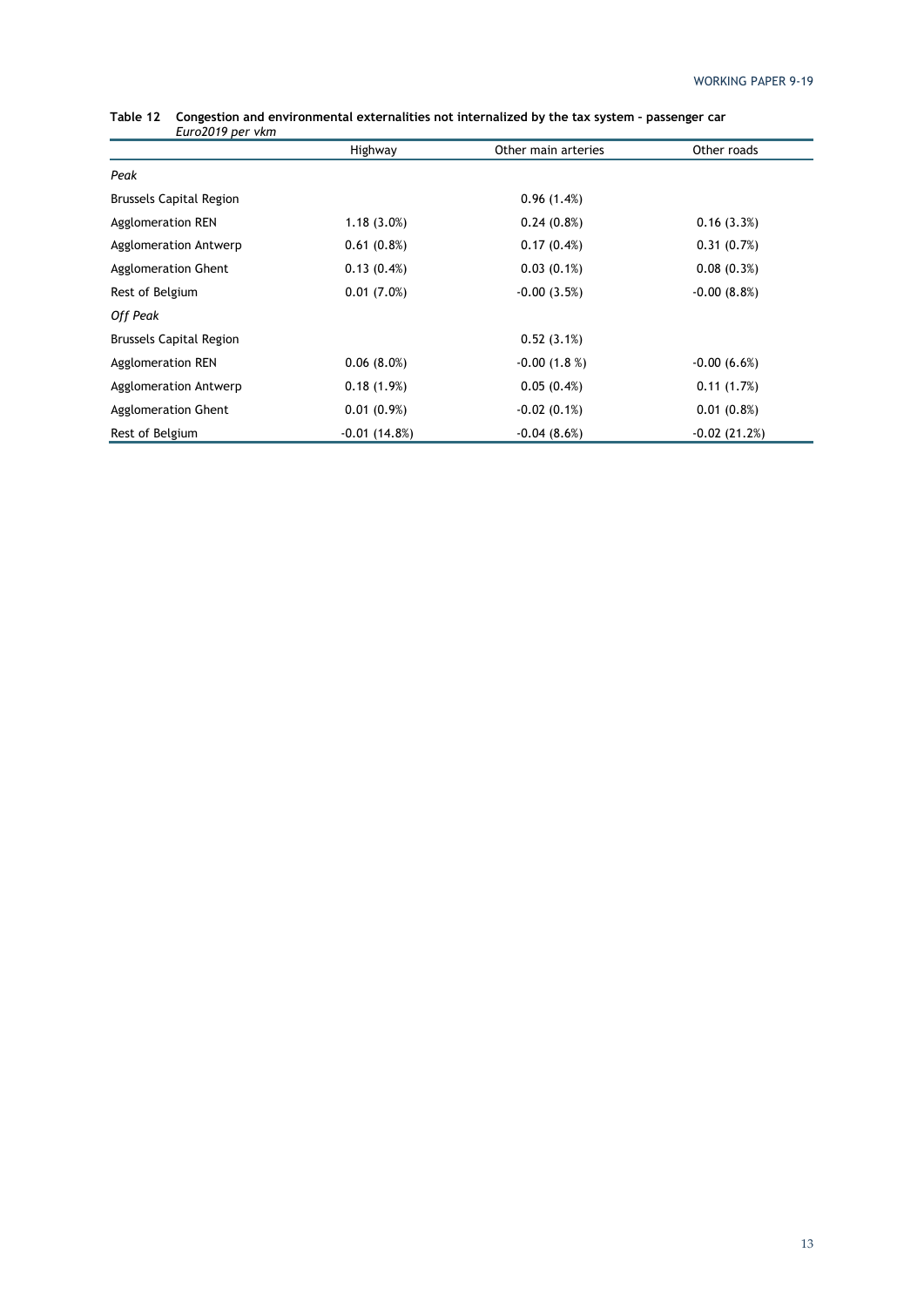| $L$ ul 020 l / $p$ ci 110 ll   |                |                     |                |
|--------------------------------|----------------|---------------------|----------------|
|                                | Highway        | Other main arteries | Other roads    |
| Peak                           |                |                     |                |
| <b>Brussels Capital Region</b> |                | 0.96(1.4%)          |                |
| Agglomeration REN              | $1.18(3.0\%)$  | $0.24(0.8\%)$       | 0.16(3.3%)     |
| Agglomeration Antwerp          | 0.61(0.8%)     | 0.17(0.4%)          | 0.31(0.7%)     |
| Agglomeration Ghent            | 0.13(0.4%)     | $0.03(0.1\%)$       | 0.08(0.3%)     |
| Rest of Belgium                | 0.01(7.0%)     | $-0.00(3.5%)$       | $-0.00(8.8%)$  |
| Off Peak                       |                |                     |                |
| <b>Brussels Capital Region</b> |                | 0.52(3.1%)          |                |
| Agglomeration REN              | 0.06(8.0%)     | $-0.00(1.8%)$       | $-0.00(6.6%)$  |
| Agglomeration Antwerp          | 0.18(1.9%)     | 0.05(0.4%)          | 0.11(1.7%)     |
| Agglomeration Ghent            | 0.01(0.9%)     | $-0.02(0.1\%)$      | $0.01(0.8\%)$  |
| Rest of Belgium                | $-0.01(14.8%)$ | $-0.04(8.6%)$       | $-0.02(21.2%)$ |

#### **Table 12 Congestion and environmental externalities not internalized by the tax system – passenger car**  *Euro2019 per vkm*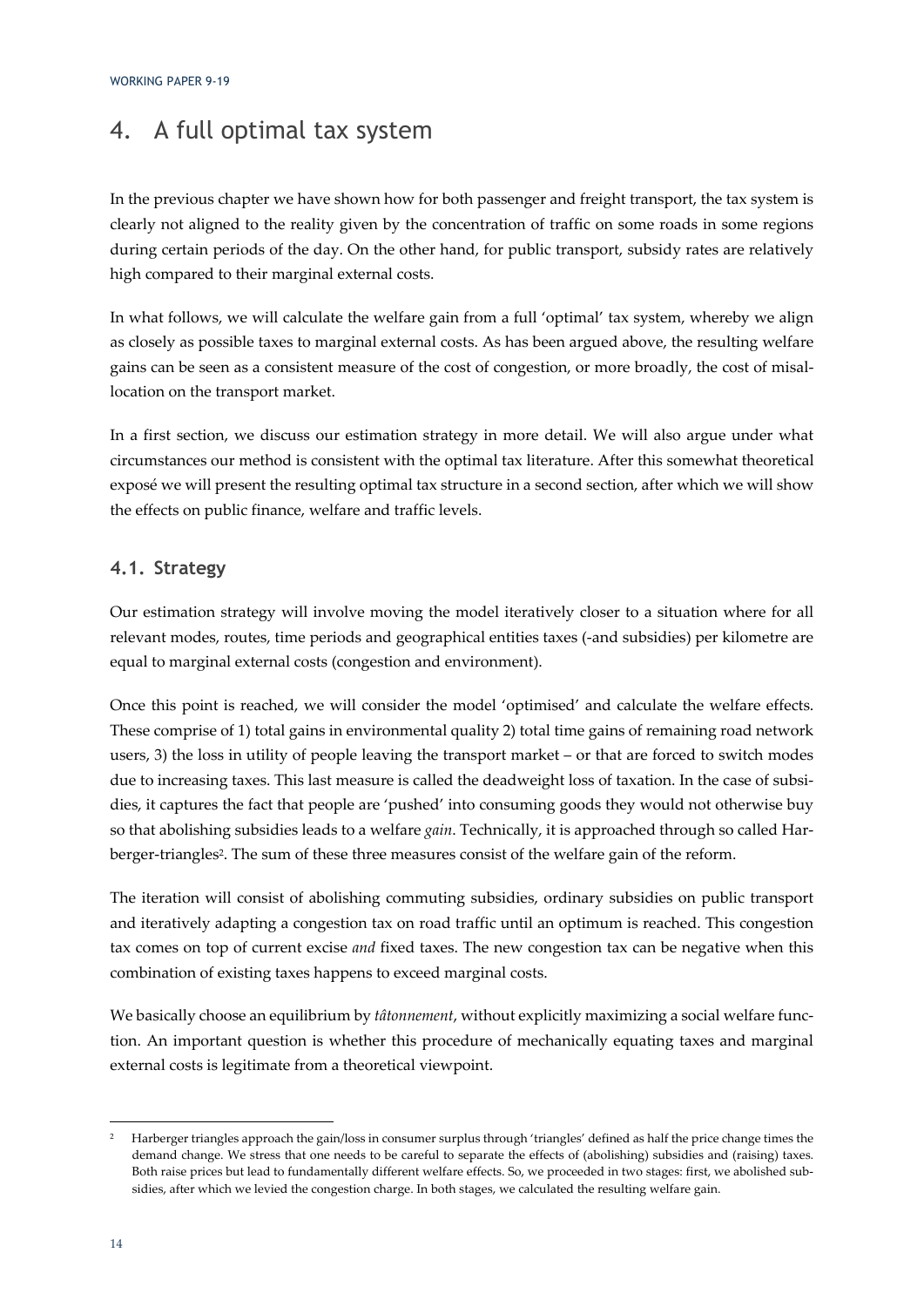### 4. A full optimal tax system

In the previous chapter we have shown how for both passenger and freight transport, the tax system is clearly not aligned to the reality given by the concentration of traffic on some roads in some regions during certain periods of the day. On the other hand, for public transport, subsidy rates are relatively high compared to their marginal external costs.

In what follows, we will calculate the welfare gain from a full 'optimal' tax system, whereby we align as closely as possible taxes to marginal external costs. As has been argued above, the resulting welfare gains can be seen as a consistent measure of the cost of congestion, or more broadly, the cost of misallocation on the transport market.

In a first section, we discuss our estimation strategy in more detail. We will also argue under what circumstances our method is consistent with the optimal tax literature. After this somewhat theoretical exposé we will present the resulting optimal tax structure in a second section, after which we will show the effects on public finance, welfare and traffic levels.

#### **4.1. Strategy**

Our estimation strategy will involve moving the model iteratively closer to a situation where for all relevant modes, routes, time periods and geographical entities taxes (-and subsidies) per kilometre are equal to marginal external costs (congestion and environment).

Once this point is reached, we will consider the model 'optimised' and calculate the welfare effects. These comprise of 1) total gains in environmental quality 2) total time gains of remaining road network users, 3) the loss in utility of people leaving the transport market – or that are forced to switch modes due to increasing taxes. This last measure is called the deadweight loss of taxation. In the case of subsidies, it captures the fact that people are 'pushed' into consuming goods they would not otherwise buy so that abolishing subsidies leads to a welfare *gain*. Technically, it is approached through so called Harberger-triangles2. The sum of these three measures consist of the welfare gain of the reform.

The iteration will consist of abolishing commuting subsidies, ordinary subsidies on public transport and iteratively adapting a congestion tax on road traffic until an optimum is reached. This congestion tax comes on top of current excise *and* fixed taxes. The new congestion tax can be negative when this combination of existing taxes happens to exceed marginal costs.

We basically choose an equilibrium by *tâtonnement*, without explicitly maximizing a social welfare function. An important question is whether this procedure of mechanically equating taxes and marginal external costs is legitimate from a theoretical viewpoint.

<sup>2</sup> Harberger triangles approach the gain/loss in consumer surplus through 'triangles' defined as half the price change times the demand change. We stress that one needs to be careful to separate the effects of (abolishing) subsidies and (raising) taxes. Both raise prices but lead to fundamentally different welfare effects. So, we proceeded in two stages: first, we abolished subsidies, after which we levied the congestion charge. In both stages, we calculated the resulting welfare gain.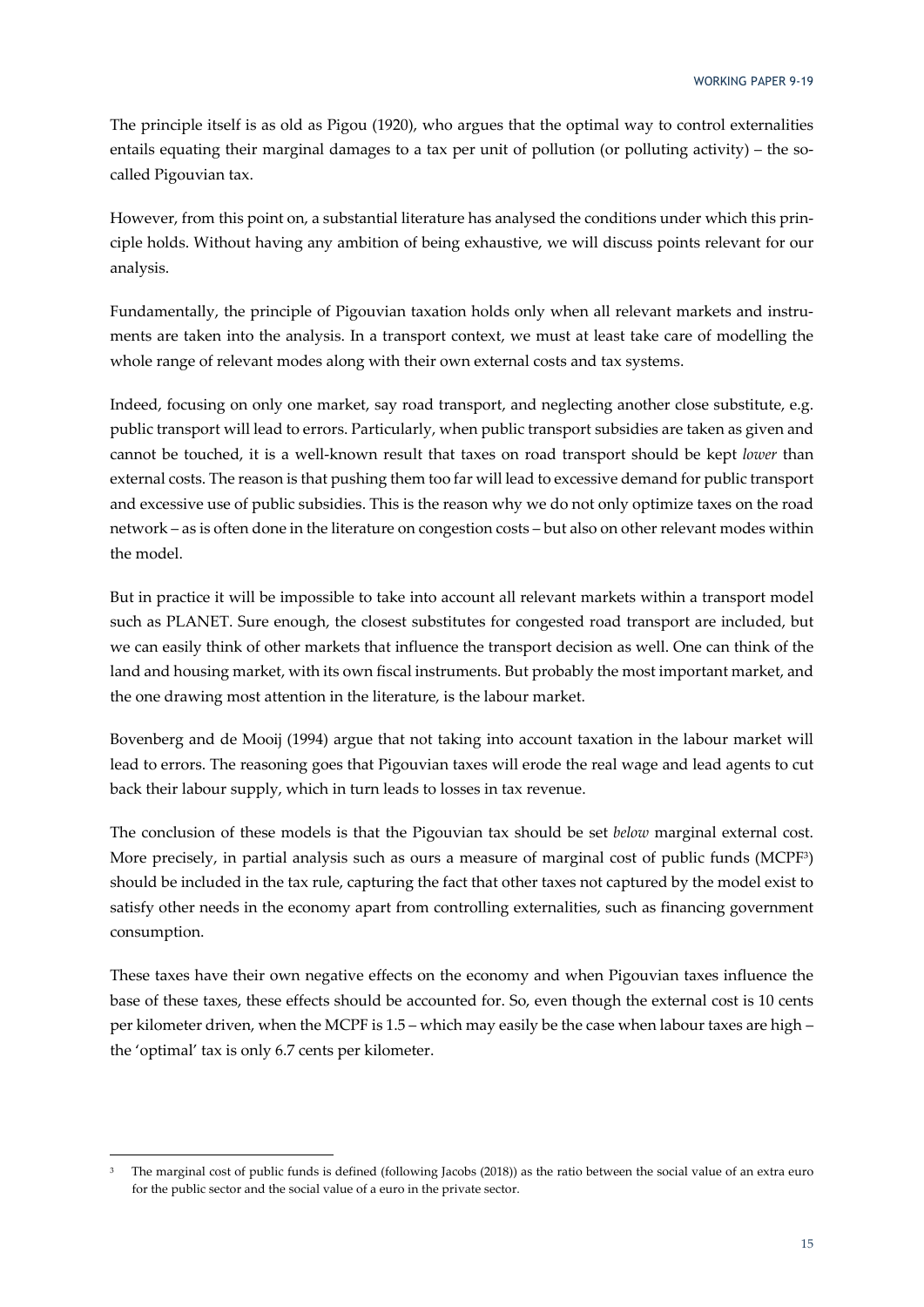The principle itself is as old as Pigou (1920), who argues that the optimal way to control externalities entails equating their marginal damages to a tax per unit of pollution (or polluting activity) – the socalled Pigouvian tax.

However, from this point on, a substantial literature has analysed the conditions under which this principle holds. Without having any ambition of being exhaustive, we will discuss points relevant for our analysis.

Fundamentally, the principle of Pigouvian taxation holds only when all relevant markets and instruments are taken into the analysis. In a transport context, we must at least take care of modelling the whole range of relevant modes along with their own external costs and tax systems.

Indeed, focusing on only one market, say road transport, and neglecting another close substitute, e.g. public transport will lead to errors. Particularly, when public transport subsidies are taken as given and cannot be touched, it is a well-known result that taxes on road transport should be kept *lower* than external costs. The reason is that pushing them too far will lead to excessive demand for public transport and excessive use of public subsidies. This is the reason why we do not only optimize taxes on the road network – as is often done in the literature on congestion costs – but also on other relevant modes within the model.

But in practice it will be impossible to take into account all relevant markets within a transport model such as PLANET. Sure enough, the closest substitutes for congested road transport are included, but we can easily think of other markets that influence the transport decision as well. One can think of the land and housing market, with its own fiscal instruments. But probably the most important market, and the one drawing most attention in the literature, is the labour market.

Bovenberg and de Mooij (1994) argue that not taking into account taxation in the labour market will lead to errors. The reasoning goes that Pigouvian taxes will erode the real wage and lead agents to cut back their labour supply, which in turn leads to losses in tax revenue.

The conclusion of these models is that the Pigouvian tax should be set *below* marginal external cost. More precisely, in partial analysis such as ours a measure of marginal cost of public funds (MCPF3) should be included in the tax rule, capturing the fact that other taxes not captured by the model exist to satisfy other needs in the economy apart from controlling externalities, such as financing government consumption.

These taxes have their own negative effects on the economy and when Pigouvian taxes influence the base of these taxes, these effects should be accounted for. So, even though the external cost is 10 cents per kilometer driven, when the MCPF is 1.5 – which may easily be the case when labour taxes are high – the 'optimal' tax is only 6.7 cents per kilometer.

<sup>3</sup> The marginal cost of public funds is defined (following Jacobs (2018)) as the ratio between the social value of an extra euro for the public sector and the social value of a euro in the private sector.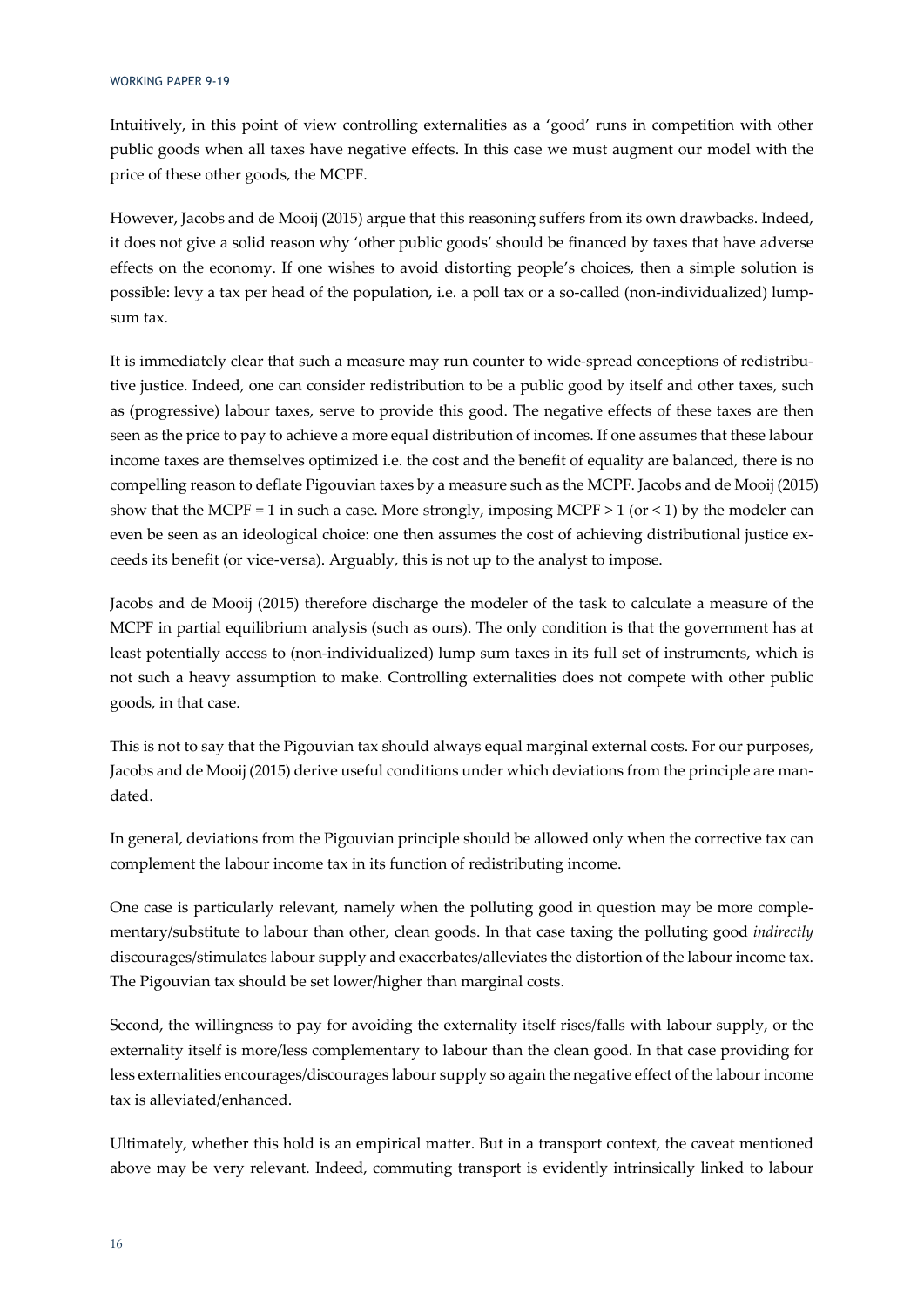Intuitively, in this point of view controlling externalities as a 'good' runs in competition with other public goods when all taxes have negative effects. In this case we must augment our model with the price of these other goods, the MCPF.

However, Jacobs and de Mooij (2015) argue that this reasoning suffers from its own drawbacks. Indeed, it does not give a solid reason why 'other public goods' should be financed by taxes that have adverse effects on the economy. If one wishes to avoid distorting people's choices, then a simple solution is possible: levy a tax per head of the population, i.e. a poll tax or a so-called (non-individualized) lumpsum tax.

It is immediately clear that such a measure may run counter to wide-spread conceptions of redistributive justice. Indeed, one can consider redistribution to be a public good by itself and other taxes, such as (progressive) labour taxes, serve to provide this good. The negative effects of these taxes are then seen as the price to pay to achieve a more equal distribution of incomes. If one assumes that these labour income taxes are themselves optimized i.e. the cost and the benefit of equality are balanced, there is no compelling reason to deflate Pigouvian taxes by a measure such as the MCPF. Jacobs and de Mooij (2015) show that the MCPF = 1 in such a case. More strongly, imposing MCPF > 1 (or < 1) by the modeler can even be seen as an ideological choice: one then assumes the cost of achieving distributional justice exceeds its benefit (or vice-versa). Arguably, this is not up to the analyst to impose.

Jacobs and de Mooij (2015) therefore discharge the modeler of the task to calculate a measure of the MCPF in partial equilibrium analysis (such as ours). The only condition is that the government has at least potentially access to (non-individualized) lump sum taxes in its full set of instruments, which is not such a heavy assumption to make. Controlling externalities does not compete with other public goods, in that case.

This is not to say that the Pigouvian tax should always equal marginal external costs. For our purposes, Jacobs and de Mooij (2015) derive useful conditions under which deviations from the principle are mandated.

In general, deviations from the Pigouvian principle should be allowed only when the corrective tax can complement the labour income tax in its function of redistributing income.

One case is particularly relevant, namely when the polluting good in question may be more complementary/substitute to labour than other, clean goods. In that case taxing the polluting good *indirectly* discourages/stimulates labour supply and exacerbates/alleviates the distortion of the labour income tax. The Pigouvian tax should be set lower/higher than marginal costs.

Second, the willingness to pay for avoiding the externality itself rises/falls with labour supply, or the externality itself is more/less complementary to labour than the clean good. In that case providing for less externalities encourages/discourages labour supply so again the negative effect of the labour income tax is alleviated/enhanced.

Ultimately, whether this hold is an empirical matter. But in a transport context, the caveat mentioned above may be very relevant. Indeed, commuting transport is evidently intrinsically linked to labour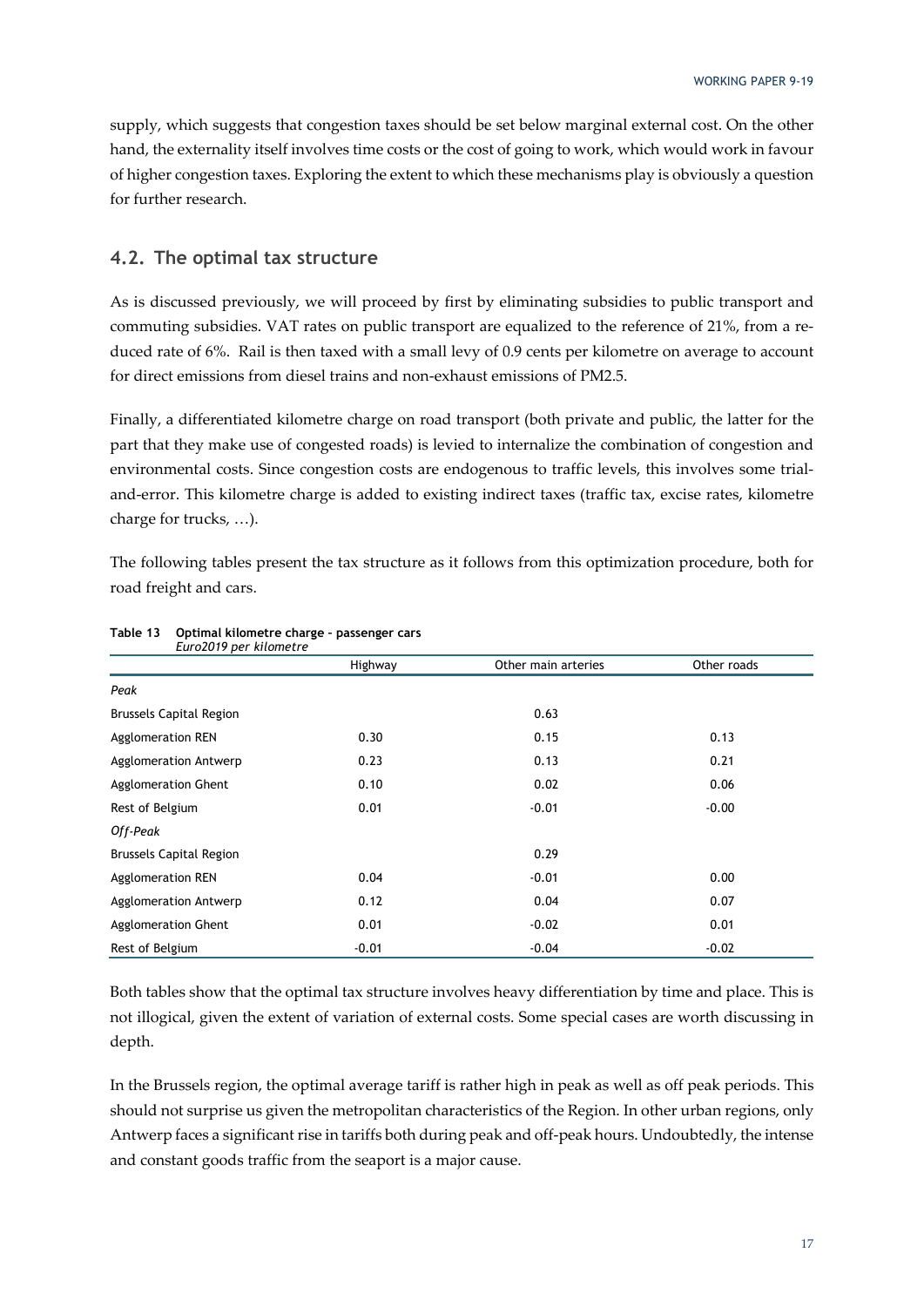supply, which suggests that congestion taxes should be set below marginal external cost. On the other hand, the externality itself involves time costs or the cost of going to work, which would work in favour of higher congestion taxes. Exploring the extent to which these mechanisms play is obviously a question for further research.

#### **4.2. The optimal tax structure**

As is discussed previously, we will proceed by first by eliminating subsidies to public transport and commuting subsidies. VAT rates on public transport are equalized to the reference of 21%, from a reduced rate of 6%. Rail is then taxed with a small levy of 0.9 cents per kilometre on average to account for direct emissions from diesel trains and non-exhaust emissions of PM2.5.

Finally, a differentiated kilometre charge on road transport (both private and public, the latter for the part that they make use of congested roads) is levied to internalize the combination of congestion and environmental costs. Since congestion costs are endogenous to traffic levels, this involves some trialand-error. This kilometre charge is added to existing indirect taxes (traffic tax, excise rates, kilometre charge for trucks, …).

The following tables present the tax structure as it follows from this optimization procedure, both for road freight and cars.

| Euro2019 per kilometre         |         |                     |             |
|--------------------------------|---------|---------------------|-------------|
|                                | Highway | Other main arteries | Other roads |
| Peak                           |         |                     |             |
| <b>Brussels Capital Region</b> |         | 0.63                |             |
| <b>Agglomeration REN</b>       | 0.30    | 0.15                | 0.13        |
| Agglomeration Antwerp          | 0.23    | 0.13                | 0.21        |
| Agglomeration Ghent            | 0.10    | 0.02                | 0.06        |
| Rest of Belgium                | 0.01    | $-0.01$             | $-0.00$     |
| Off-Peak                       |         |                     |             |
| <b>Brussels Capital Region</b> |         | 0.29                |             |
| <b>Agglomeration REN</b>       | 0.04    | $-0.01$             | 0.00        |
| Agglomeration Antwerp          | 0.12    | 0.04                | 0.07        |
| <b>Agglomeration Ghent</b>     | 0.01    | $-0.02$             | 0.01        |
| Rest of Belgium                | $-0.01$ | $-0.04$             | $-0.02$     |

### **Table 13 Optimal kilometre charge – passenger cars**

Both tables show that the optimal tax structure involves heavy differentiation by time and place. This is not illogical, given the extent of variation of external costs. Some special cases are worth discussing in depth.

In the Brussels region, the optimal average tariff is rather high in peak as well as off peak periods. This should not surprise us given the metropolitan characteristics of the Region. In other urban regions, only Antwerp faces a significant rise in tariffs both during peak and off-peak hours. Undoubtedly, the intense and constant goods traffic from the seaport is a major cause.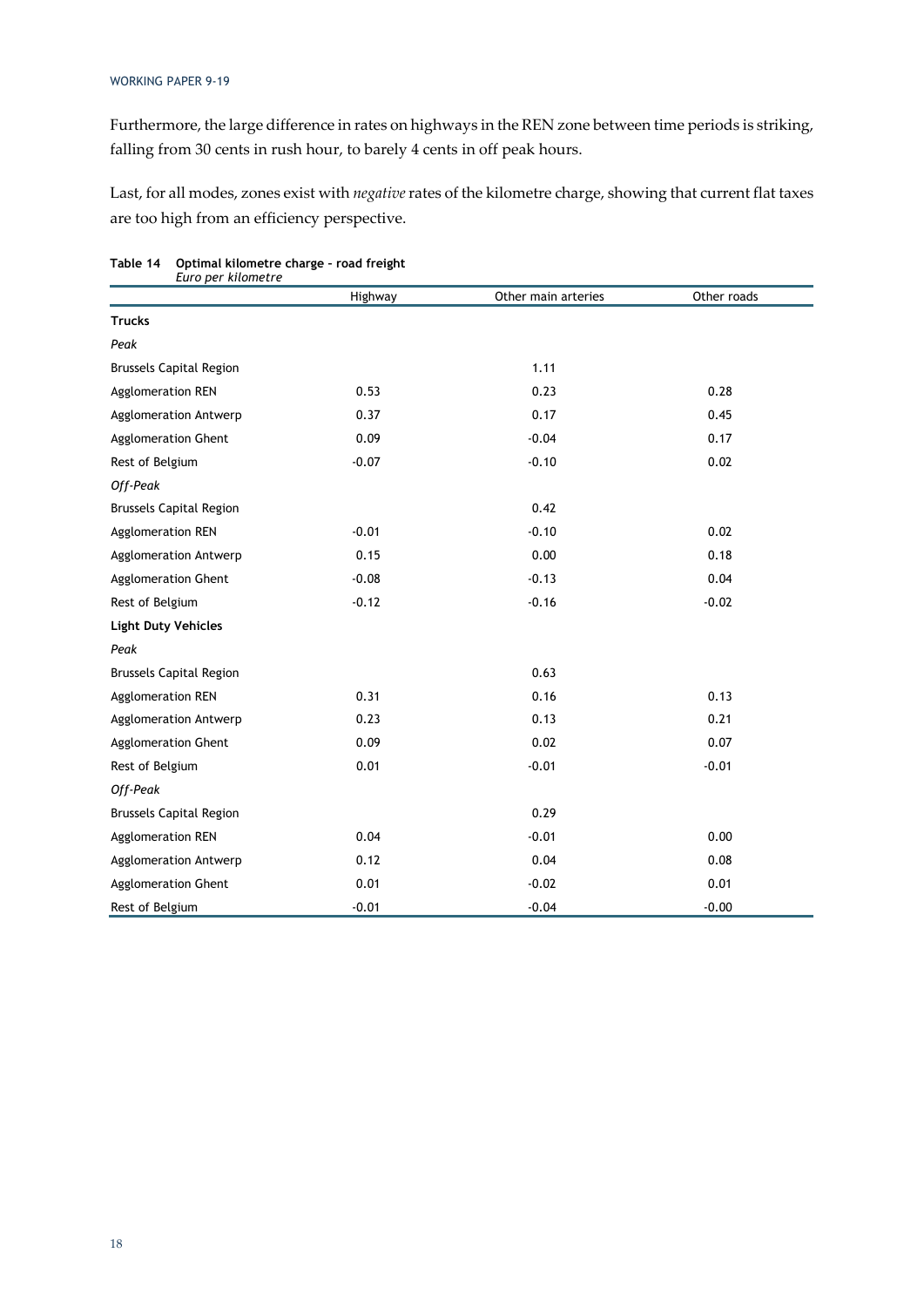Furthermore, the large difference in rates on highways in the REN zone between time periods is striking, falling from 30 cents in rush hour, to barely 4 cents in off peak hours.

Last, for all modes, zones exist with *negative* rates of the kilometre charge, showing that current flat taxes are too high from an efficiency perspective.

|                                | Highway | Other main arteries | Other roads |
|--------------------------------|---------|---------------------|-------------|
| <b>Trucks</b>                  |         |                     |             |
| Peak                           |         |                     |             |
| <b>Brussels Capital Region</b> |         | 1.11                |             |
| <b>Agglomeration REN</b>       | 0.53    | 0.23                | 0.28        |
| Agglomeration Antwerp          | 0.37    | 0.17                | 0.45        |
| Agglomeration Ghent            | 0.09    | $-0.04$             | 0.17        |
| Rest of Belgium                | $-0.07$ | $-0.10$             | 0.02        |
| Off-Peak                       |         |                     |             |
| <b>Brussels Capital Region</b> |         | 0.42                |             |
| <b>Agglomeration REN</b>       | $-0.01$ | $-0.10$             | 0.02        |
| Agglomeration Antwerp          | 0.15    | 0.00                | 0.18        |
| Agglomeration Ghent            | $-0.08$ | $-0.13$             | 0.04        |
| Rest of Belgium                | $-0.12$ | $-0.16$             | $-0.02$     |
| <b>Light Duty Vehicles</b>     |         |                     |             |
| Peak                           |         |                     |             |
| <b>Brussels Capital Region</b> |         | 0.63                |             |
| <b>Agglomeration REN</b>       | 0.31    | 0.16                | 0.13        |
| Agglomeration Antwerp          | 0.23    | 0.13                | 0.21        |
| Agglomeration Ghent            | 0.09    | 0.02                | 0.07        |
| Rest of Belgium                | 0.01    | $-0.01$             | $-0.01$     |
| Off-Peak                       |         |                     |             |
| <b>Brussels Capital Region</b> |         | 0.29                |             |
| <b>Agglomeration REN</b>       | 0.04    | $-0.01$             | 0.00        |
| Agglomeration Antwerp          | 0.12    | 0.04                | 0.08        |
| Agglomeration Ghent            | 0.01    | $-0.02$             | 0.01        |
| Rest of Belgium                | $-0.01$ | $-0.04$             | $-0.00$     |

#### **Table 14 Optimal kilometre charge – road freight**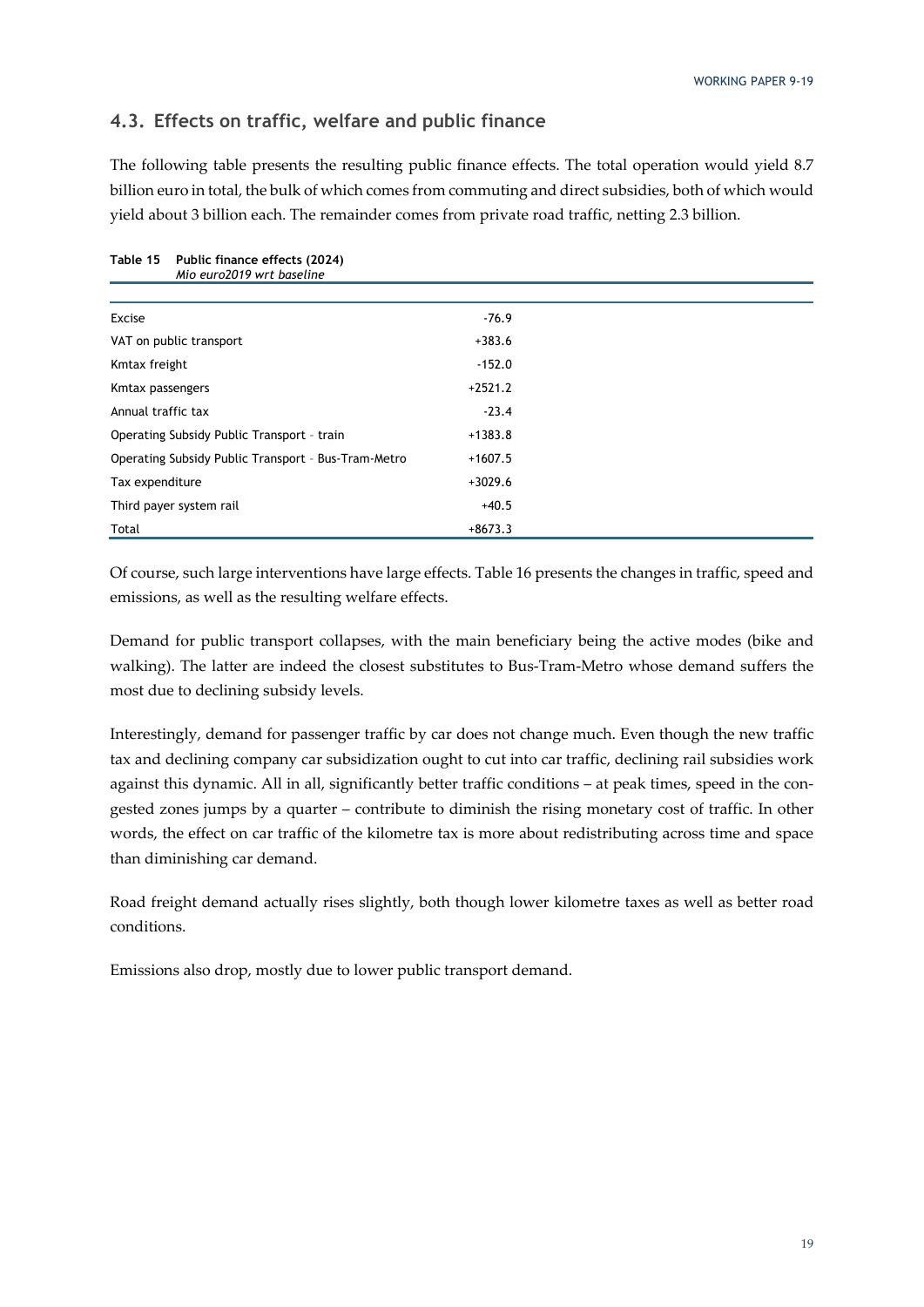#### **4.3. Effects on traffic, welfare and public finance**

The following table presents the resulting public finance effects. The total operation would yield 8.7 billion euro in total, the bulk of which comes from commuting and direct subsidies, both of which would yield about 3 billion each. The remainder comes from private road traffic, netting 2.3 billion.

| Mio euro2019 wrt baseline                           |           |
|-----------------------------------------------------|-----------|
|                                                     |           |
| Excise                                              | $-76.9$   |
| VAT on public transport                             | $+383.6$  |
| Kmtax freight                                       | $-152.0$  |
| Kmtax passengers                                    | $+2521.2$ |
| Annual traffic tax                                  | $-23.4$   |
| Operating Subsidy Public Transport - train          | $+1383.8$ |
| Operating Subsidy Public Transport - Bus-Tram-Metro | $+1607.5$ |
| Tax expenditure                                     | $+3029.6$ |
| Third payer system rail                             | $+40.5$   |
| Total                                               | $+8673.3$ |

### **Table 15 Public finance effects (2024)**

Of course, such large interventions have large effects. Table 16 presents the changes in traffic, speed and emissions, as well as the resulting welfare effects.

Demand for public transport collapses, with the main beneficiary being the active modes (bike and walking). The latter are indeed the closest substitutes to Bus-Tram-Metro whose demand suffers the most due to declining subsidy levels.

Interestingly, demand for passenger traffic by car does not change much. Even though the new traffic tax and declining company car subsidization ought to cut into car traffic, declining rail subsidies work against this dynamic. All in all, significantly better traffic conditions – at peak times, speed in the congested zones jumps by a quarter – contribute to diminish the rising monetary cost of traffic. In other words, the effect on car traffic of the kilometre tax is more about redistributing across time and space than diminishing car demand.

Road freight demand actually rises slightly, both though lower kilometre taxes as well as better road conditions.

Emissions also drop, mostly due to lower public transport demand.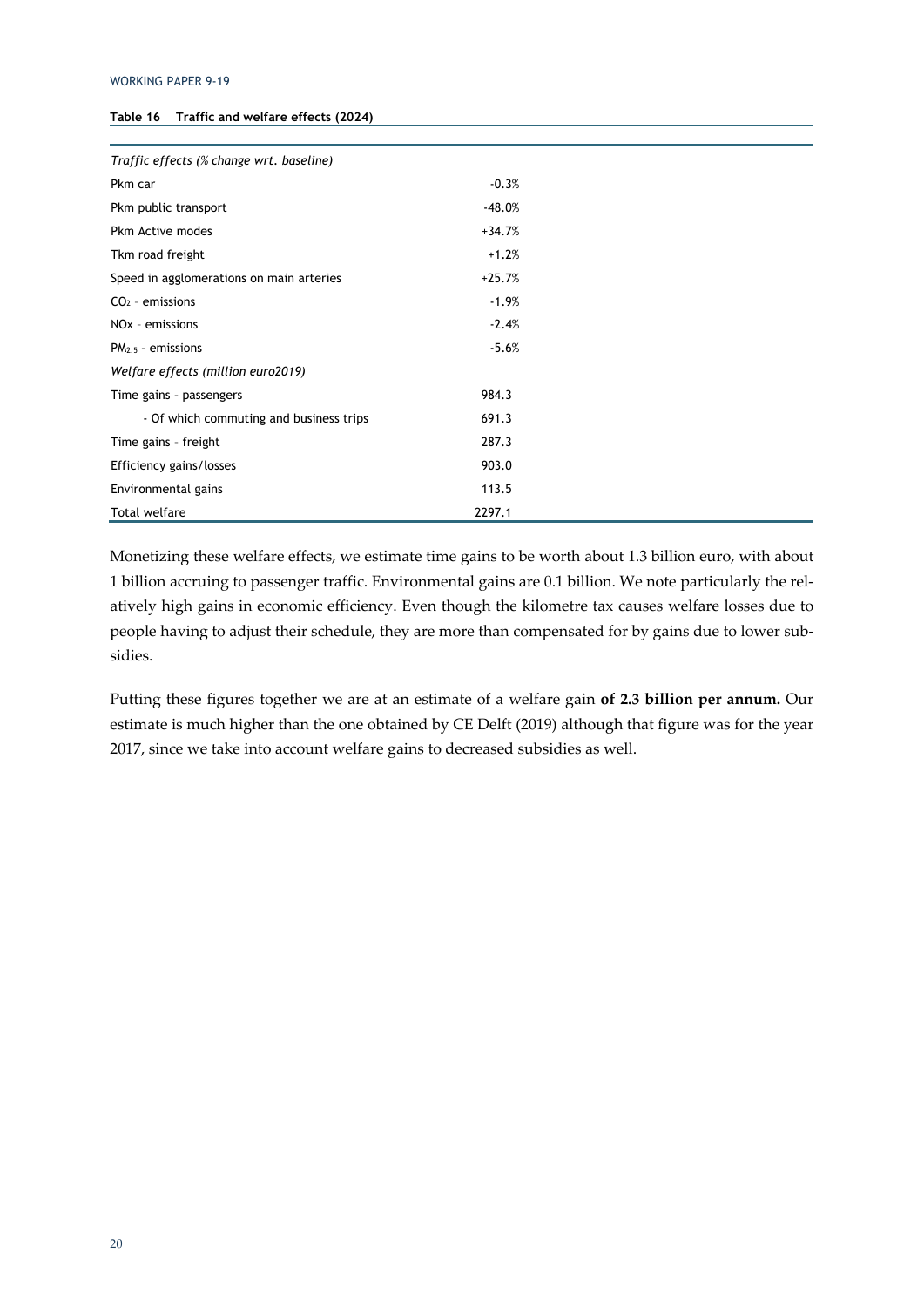| Traffic effects (% change wrt. baseline) |          |  |
|------------------------------------------|----------|--|
| Pkm car                                  | $-0.3%$  |  |
| Pkm public transport                     | $-48.0%$ |  |
| Pkm Active modes                         | $+34.7%$ |  |
| Tkm road freight                         | $+1.2%$  |  |
| Speed in agglomerations on main arteries | $+25.7%$ |  |
| $CO2$ - emissions                        | $-1.9%$  |  |
| NO <sub>x</sub> - emissions              | $-2.4%$  |  |
| $PM2.5$ - emissions                      | $-5.6%$  |  |
| Welfare effects (million euro2019)       |          |  |
| Time gains - passengers                  | 984.3    |  |
| - Of which commuting and business trips  | 691.3    |  |
| Time gains - freight                     | 287.3    |  |
| Efficiency gains/losses                  | 903.0    |  |
| Environmental gains                      | 113.5    |  |
| <b>Total welfare</b>                     | 2297.1   |  |

Monetizing these welfare effects, we estimate time gains to be worth about 1.3 billion euro, with about 1 billion accruing to passenger traffic. Environmental gains are 0.1 billion. We note particularly the relatively high gains in economic efficiency. Even though the kilometre tax causes welfare losses due to people having to adjust their schedule, they are more than compensated for by gains due to lower subsidies.

Putting these figures together we are at an estimate of a welfare gain **of 2.3 billion per annum.** Our estimate is much higher than the one obtained by CE Delft (2019) although that figure was for the year 2017, since we take into account welfare gains to decreased subsidies as well.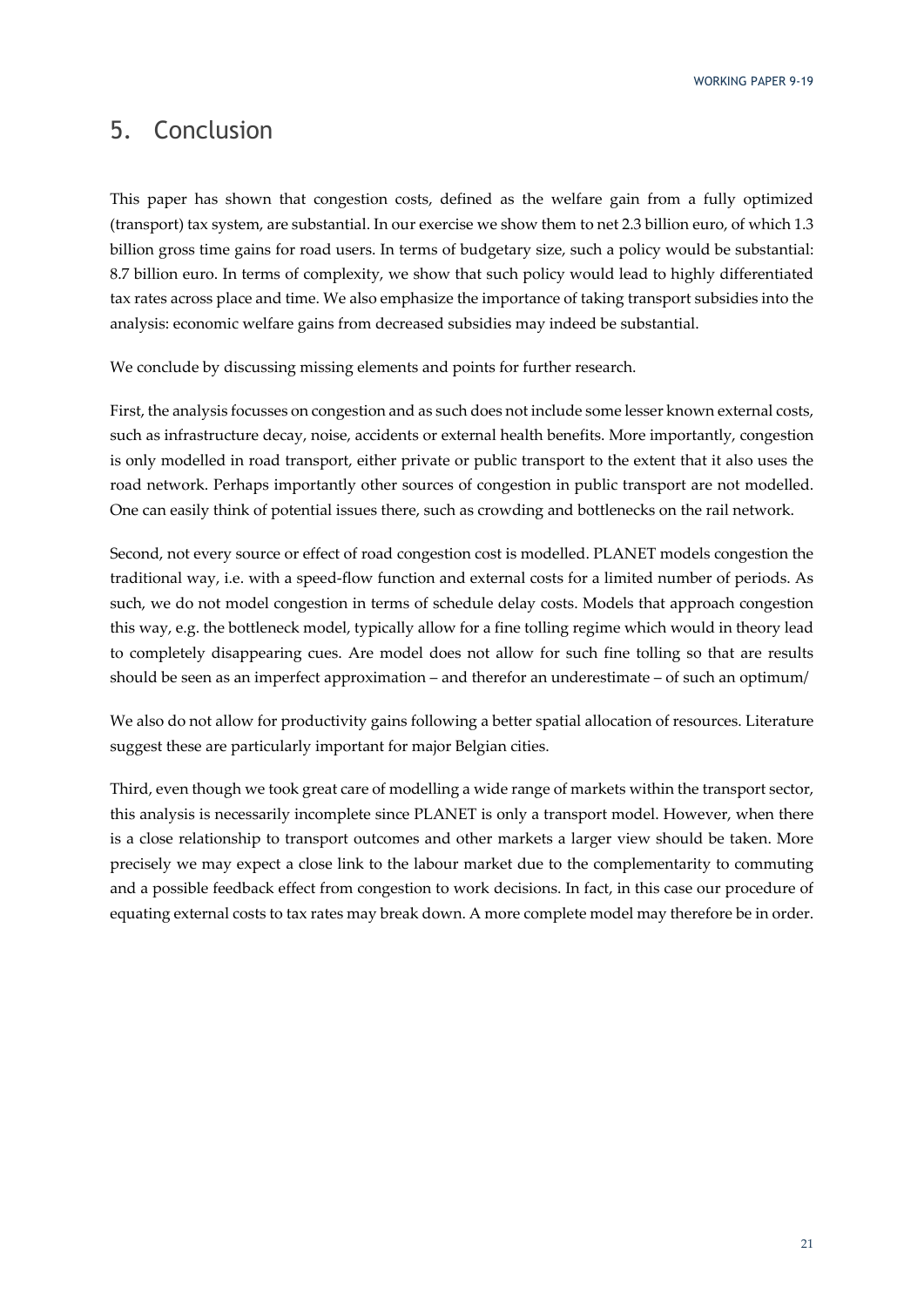### 5. Conclusion

This paper has shown that congestion costs, defined as the welfare gain from a fully optimized (transport) tax system, are substantial. In our exercise we show them to net 2.3 billion euro, of which 1.3 billion gross time gains for road users. In terms of budgetary size, such a policy would be substantial: 8.7 billion euro. In terms of complexity, we show that such policy would lead to highly differentiated tax rates across place and time. We also emphasize the importance of taking transport subsidies into the analysis: economic welfare gains from decreased subsidies may indeed be substantial.

We conclude by discussing missing elements and points for further research.

First, the analysis focusses on congestion and as such does not include some lesser known external costs, such as infrastructure decay, noise, accidents or external health benefits. More importantly, congestion is only modelled in road transport, either private or public transport to the extent that it also uses the road network. Perhaps importantly other sources of congestion in public transport are not modelled. One can easily think of potential issues there, such as crowding and bottlenecks on the rail network.

Second, not every source or effect of road congestion cost is modelled. PLANET models congestion the traditional way, i.e. with a speed-flow function and external costs for a limited number of periods. As such, we do not model congestion in terms of schedule delay costs. Models that approach congestion this way, e.g. the bottleneck model, typically allow for a fine tolling regime which would in theory lead to completely disappearing cues. Are model does not allow for such fine tolling so that are results should be seen as an imperfect approximation – and therefor an underestimate – of such an optimum/

We also do not allow for productivity gains following a better spatial allocation of resources. Literature suggest these are particularly important for major Belgian cities.

Third, even though we took great care of modelling a wide range of markets within the transport sector, this analysis is necessarily incomplete since PLANET is only a transport model. However, when there is a close relationship to transport outcomes and other markets a larger view should be taken. More precisely we may expect a close link to the labour market due to the complementarity to commuting and a possible feedback effect from congestion to work decisions. In fact, in this case our procedure of equating external costs to tax rates may break down. A more complete model may therefore be in order.